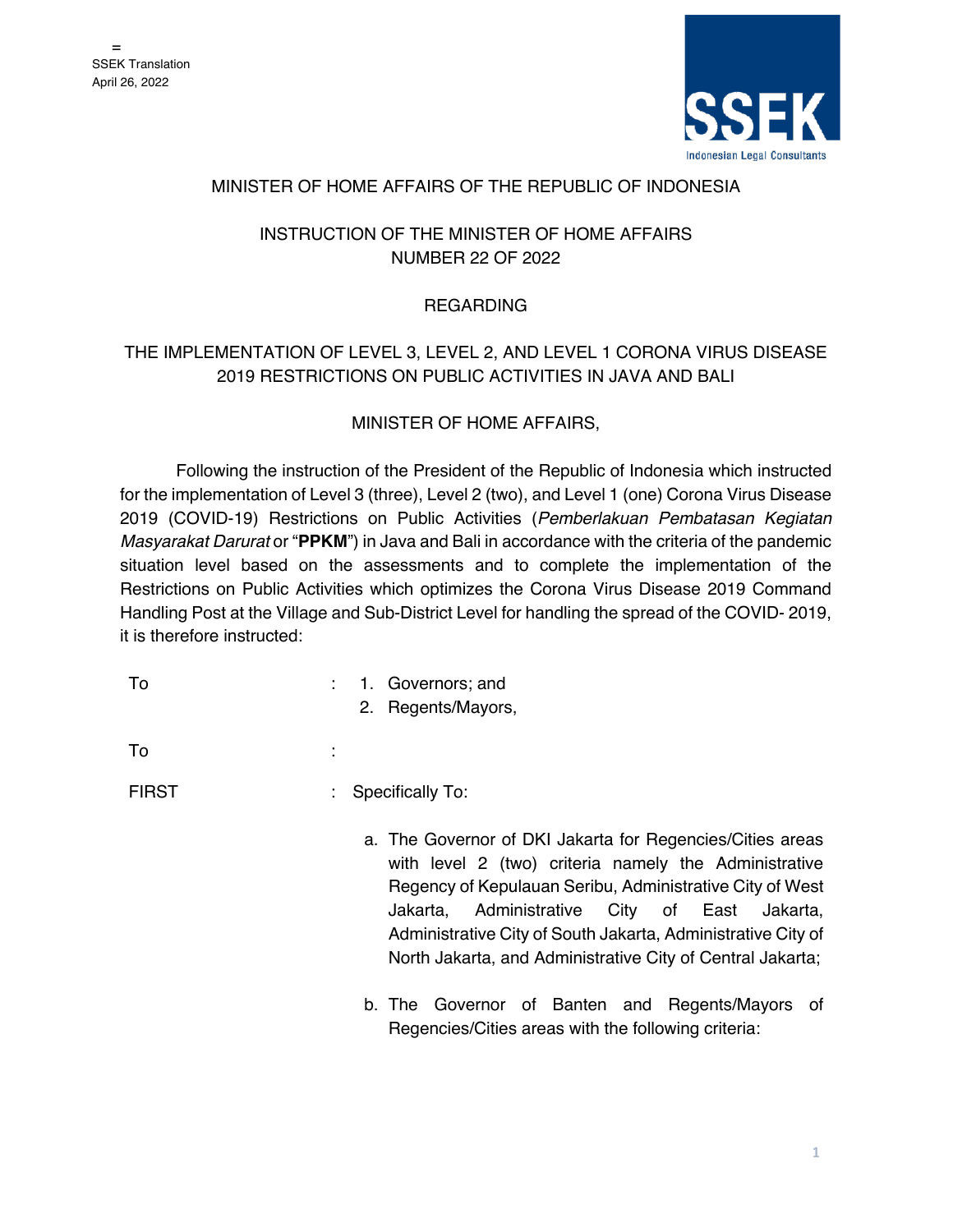

#### MINISTER OF HOME AFFAIRS OF THE REPUBLIC OF INDONESIA

# INSTRUCTION OF THE MINISTER OF HOME AFFAIRS NUMBER 22 OF 2022

# **REGARDING**

# THE IMPLEMENTATION OF LEVEL 3, LEVEL 2, AND LEVEL 1 CORONA VIRUS DISEASE 2019 RESTRICTIONS ON PUBLIC ACTIVITIES IN JAVA AND BALI

## MINISTER OF HOME AFFAIRS,

Following the instruction of the President of the Republic of Indonesia which instructed for the implementation of Level 3 (three), Level 2 (two), and Level 1 (one) Corona Virus Disease 2019 (COVID-19) Restrictions on Public Activities (*Pemberlakuan Pembatasan Kegiatan Masyarakat Darurat* or "**PPKM**") in Java and Bali in accordance with the criteria of the pandemic situation level based on the assessments and to complete the implementation of the Restrictions on Public Activities which optimizes the Corona Virus Disease 2019 Command Handling Post at the Village and Sub-District Level for handling the spread of the COVID- 2019, it is therefore instructed:

To  $\qquad \qquad$ : 1. Governors; and

2. Regents/Mayors,

 $\mathsf{To}$  : the set of  $\mathsf{S}$  is the set of  $\mathsf{S}$  is the set of  $\mathsf{S}$  is the set of  $\mathsf{S}$ 

## FIRST : Specifically To:

- a. The Governor of DKI Jakarta for Regencies/Cities areas with level 2 (two) criteria namely the Administrative Regency of Kepulauan Seribu, Administrative City of West Jakarta, Administrative City of East Jakarta, Administrative City of South Jakarta, Administrative City of North Jakarta, and Administrative City of Central Jakarta;
- b. The Governor of Banten and Regents/Mayors of Regencies/Cities areas with the following criteria: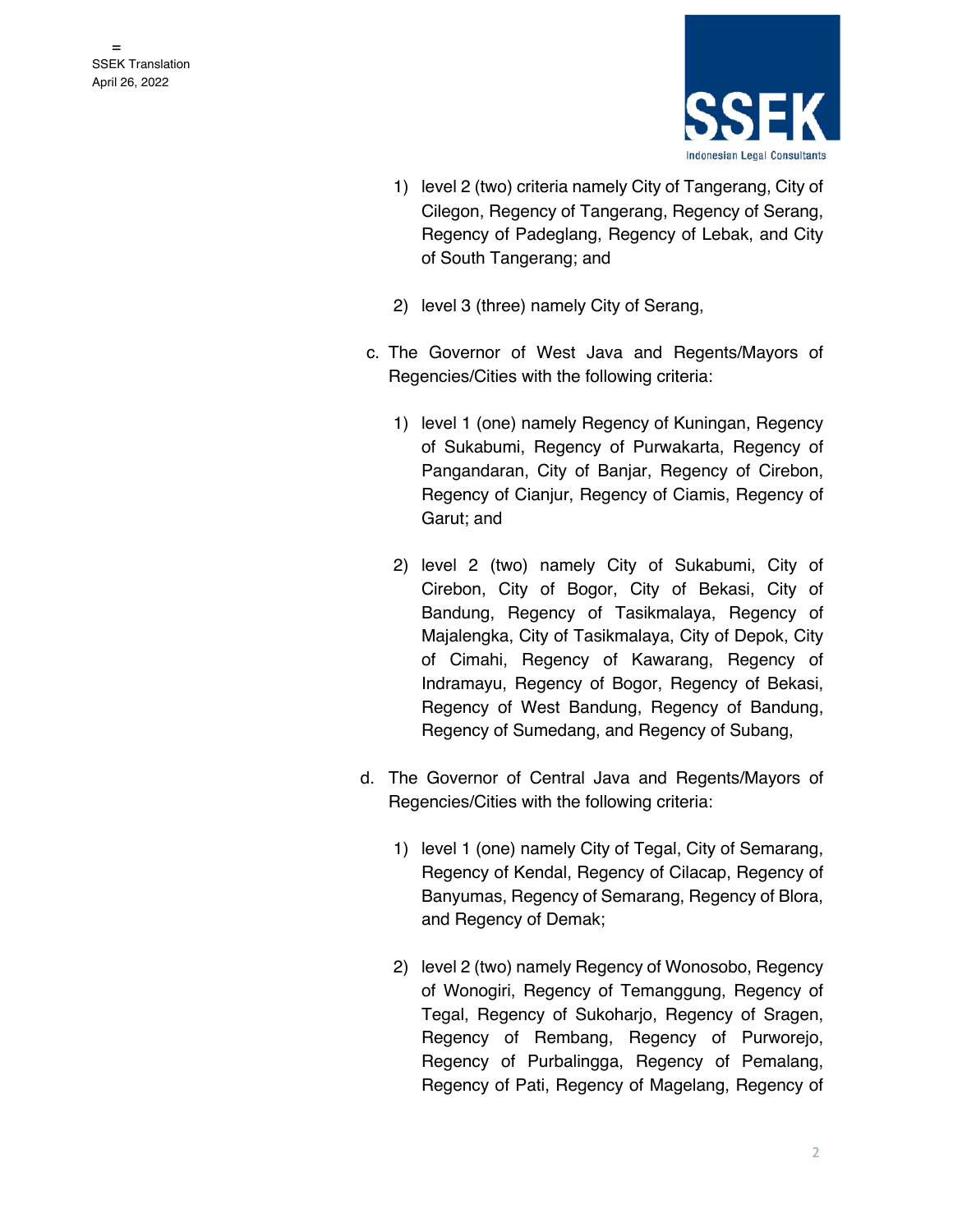

- 1) level 2 (two) criteria namely City of Tangerang, City of Cilegon, Regency of Tangerang, Regency of Serang, Regency of Padeglang, Regency of Lebak, and City of South Tangerang; and
- 2) level 3 (three) namely City of Serang,
- c. The Governor of West Java and Regents/Mayors of Regencies/Cities with the following criteria:
	- 1) level 1 (one) namely Regency of Kuningan, Regency of Sukabumi, Regency of Purwakarta, Regency of Pangandaran, City of Banjar, Regency of Cirebon, Regency of Cianjur, Regency of Ciamis, Regency of Garut; and
	- 2) level 2 (two) namely City of Sukabumi, City of Cirebon, City of Bogor, City of Bekasi, City of Bandung, Regency of Tasikmalaya, Regency of Majalengka, City of Tasikmalaya, City of Depok, City of Cimahi, Regency of Kawarang, Regency of Indramayu, Regency of Bogor, Regency of Bekasi, Regency of West Bandung, Regency of Bandung, Regency of Sumedang, and Regency of Subang,
- d. The Governor of Central Java and Regents/Mayors of Regencies/Cities with the following criteria:
	- 1) level 1 (one) namely City of Tegal, City of Semarang, Regency of Kendal, Regency of Cilacap, Regency of Banyumas, Regency of Semarang, Regency of Blora, and Regency of Demak;
	- 2) level 2 (two) namely Regency of Wonosobo, Regency of Wonogiri, Regency of Temanggung, Regency of Tegal, Regency of Sukoharjo, Regency of Sragen, Regency of Rembang, Regency of Purworejo, Regency of Purbalingga, Regency of Pemalang, Regency of Pati, Regency of Magelang, Regency of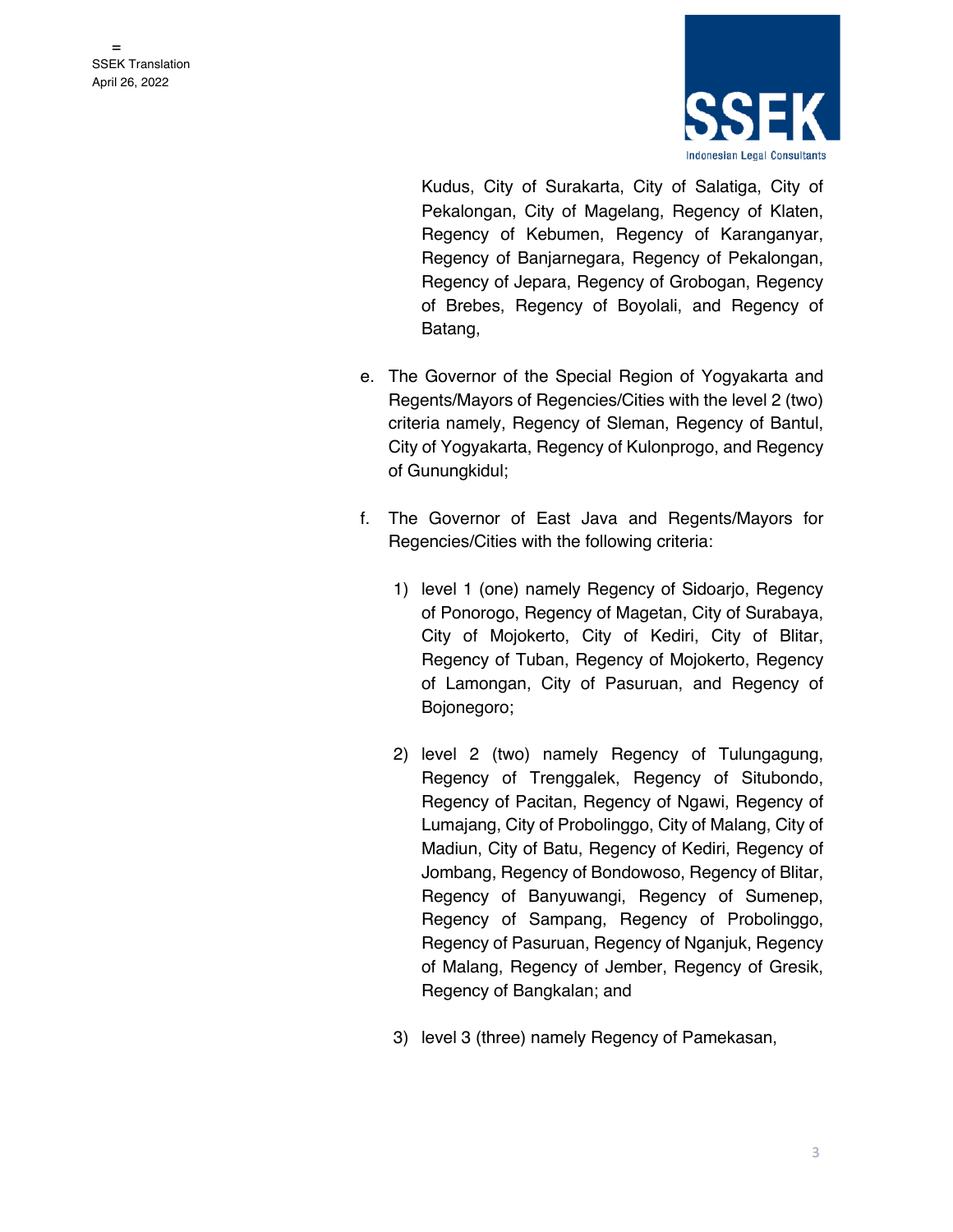

Kudus, City of Surakarta, City of Salatiga, City of Pekalongan, City of Magelang, Regency of Klaten, Regency of Kebumen, Regency of Karanganyar, Regency of Banjarnegara, Regency of Pekalongan, Regency of Jepara, Regency of Grobogan, Regency of Brebes, Regency of Boyolali, and Regency of Batang,

- e. The Governor of the Special Region of Yogyakarta and Regents/Mayors of Regencies/Cities with the level 2 (two) criteria namely, Regency of Sleman, Regency of Bantul, City of Yogyakarta, Regency of Kulonprogo, and Regency of Gunungkidul;
- f. The Governor of East Java and Regents/Mayors for Regencies/Cities with the following criteria:
	- 1) level 1 (one) namely Regency of Sidoarjo, Regency of Ponorogo, Regency of Magetan, City of Surabaya, City of Mojokerto, City of Kediri, City of Blitar, Regency of Tuban, Regency of Mojokerto, Regency of Lamongan, City of Pasuruan, and Regency of Bojonegoro;
	- 2) level 2 (two) namely Regency of Tulungagung, Regency of Trenggalek, Regency of Situbondo, Regency of Pacitan, Regency of Ngawi, Regency of Lumajang, City of Probolinggo, City of Malang, City of Madiun, City of Batu, Regency of Kediri, Regency of Jombang, Regency of Bondowoso, Regency of Blitar, Regency of Banyuwangi, Regency of Sumenep, Regency of Sampang, Regency of Probolinggo, Regency of Pasuruan, Regency of Nganjuk, Regency of Malang, Regency of Jember, Regency of Gresik, Regency of Bangkalan; and
	- 3) level 3 (three) namely Regency of Pamekasan,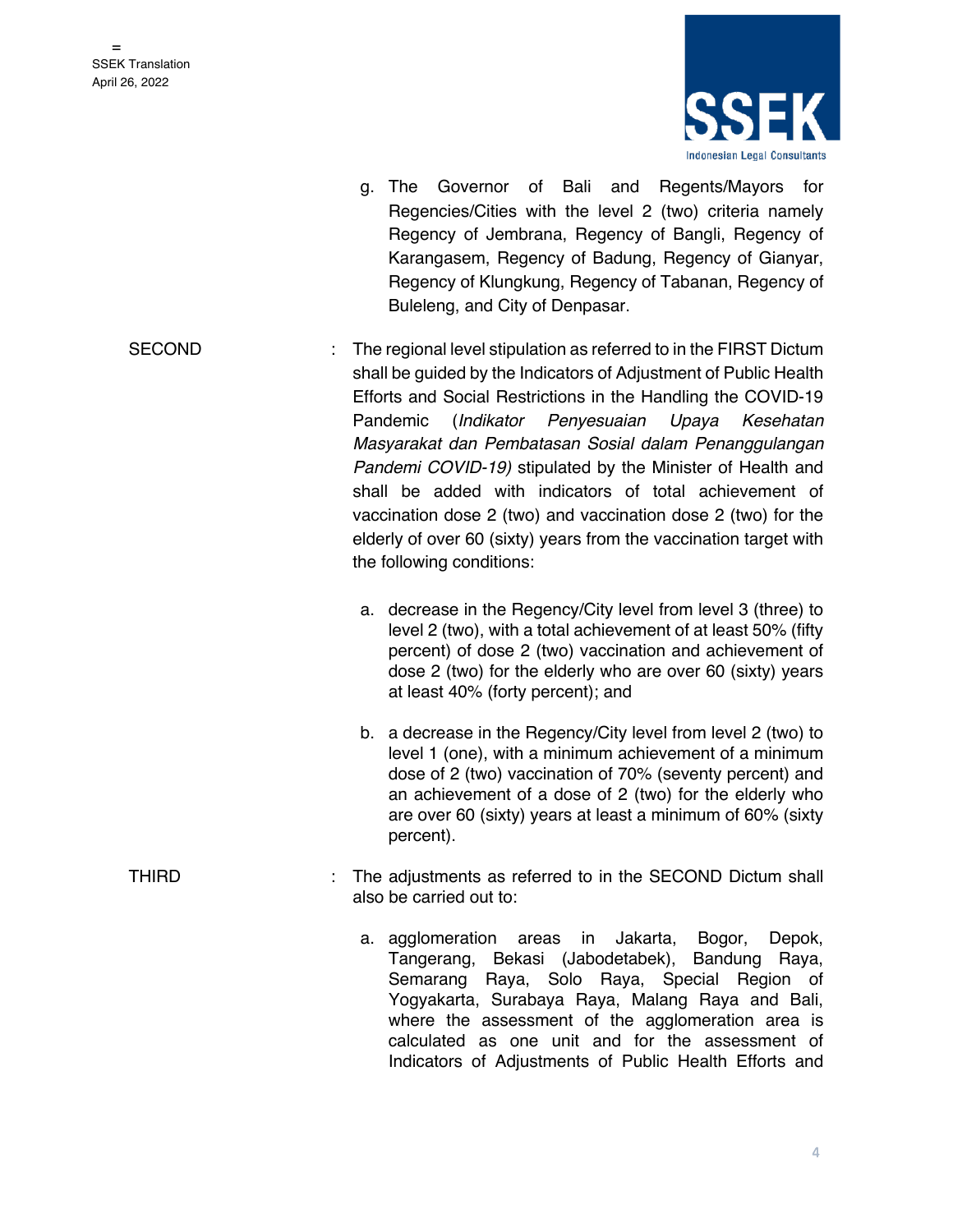

- g. The Governor of Bali and Regents/Mayors for Regencies/Cities with the level 2 (two) criteria namely Regency of Jembrana, Regency of Bangli, Regency of Karangasem, Regency of Badung, Regency of Gianyar, Regency of Klungkung, Regency of Tabanan, Regency of Buleleng, and City of Denpasar.
- SECOND : The regional level stipulation as referred to in the FIRST Dictum shall be guided by the Indicators of Adjustment of Public Health Efforts and Social Restrictions in the Handling the COVID-19 Pandemic (*Indikator Penyesuaian Upaya Kesehatan Masyarakat dan Pembatasan Sosial dalam Penanggulangan Pandemi COVID-19)* stipulated by the Minister of Health and shall be added with indicators of total achievement of vaccination dose 2 (two) and vaccination dose 2 (two) for the elderly of over 60 (sixty) years from the vaccination target with the following conditions:
	- a. decrease in the Regency/City level from level 3 (three) to level 2 (two), with a total achievement of at least 50% (fifty percent) of dose 2 (two) vaccination and achievement of dose 2 (two) for the elderly who are over 60 (sixty) years at least 40% (forty percent); and
	- b. a decrease in the Regency/City level from level 2 (two) to level 1 (one), with a minimum achievement of a minimum dose of 2 (two) vaccination of 70% (seventy percent) and an achievement of a dose of 2 (two) for the elderly who are over 60 (sixty) years at least a minimum of 60% (sixty percent).
- THIRD : The adjustments as referred to in the SECOND Dictum shall also be carried out to:
	- a. agglomeration areas in Jakarta, Bogor, Depok, Tangerang, Bekasi (Jabodetabek), Bandung Raya, Semarang Raya, Solo Raya, Special Region of Yogyakarta, Surabaya Raya, Malang Raya and Bali, where the assessment of the agglomeration area is calculated as one unit and for the assessment of Indicators of Adjustments of Public Health Efforts and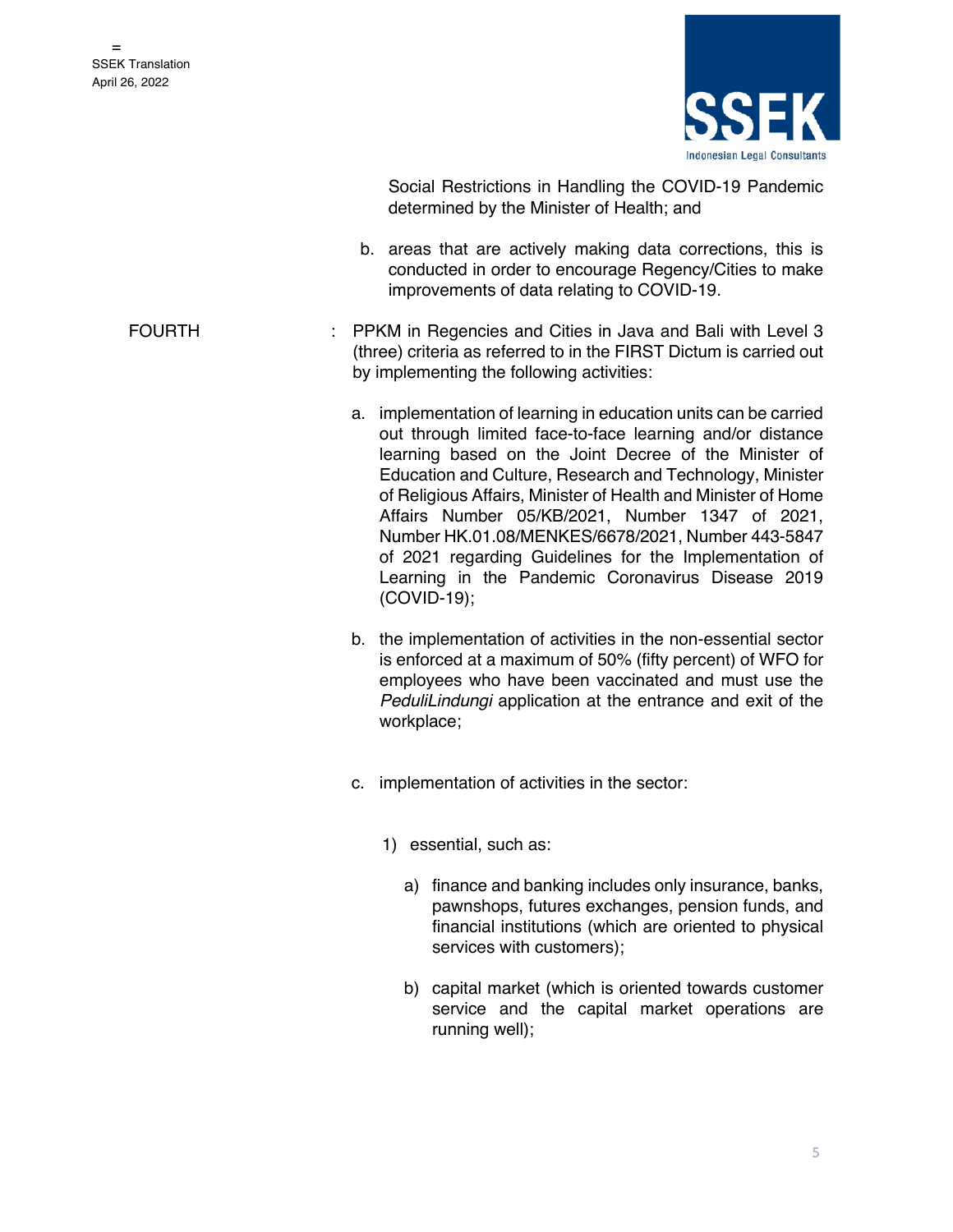

Social Restrictions in Handling the COVID-19 Pandemic determined by the Minister of Health; and

- b. areas that are actively making data corrections, this is conducted in order to encourage Regency/Cities to make improvements of data relating to COVID-19.
- FOURTH : PPKM in Regencies and Cities in Java and Bali with Level 3 (three) criteria as referred to in the FIRST Dictum is carried out by implementing the following activities:
	- a. implementation of learning in education units can be carried out through limited face-to-face learning and/or distance learning based on the Joint Decree of the Minister of Education and Culture, Research and Technology, Minister of Religious Affairs, Minister of Health and Minister of Home Affairs Number 05/KB/2021, Number 1347 of 2021, Number HK.01.08/MENKES/6678/2021, Number 443-5847 of 2021 regarding Guidelines for the Implementation of Learning in the Pandemic Coronavirus Disease 2019 (COVID-19);
	- b. the implementation of activities in the non-essential sector is enforced at a maximum of 50% (fifty percent) of WFO for employees who have been vaccinated and must use the *PeduliLindungi* application at the entrance and exit of the workplace;
	- c. implementation of activities in the sector:
		- 1) essential, such as:
			- a) finance and banking includes only insurance, banks, pawnshops, futures exchanges, pension funds, and financial institutions (which are oriented to physical services with customers);
			- b) capital market (which is oriented towards customer service and the capital market operations are running well);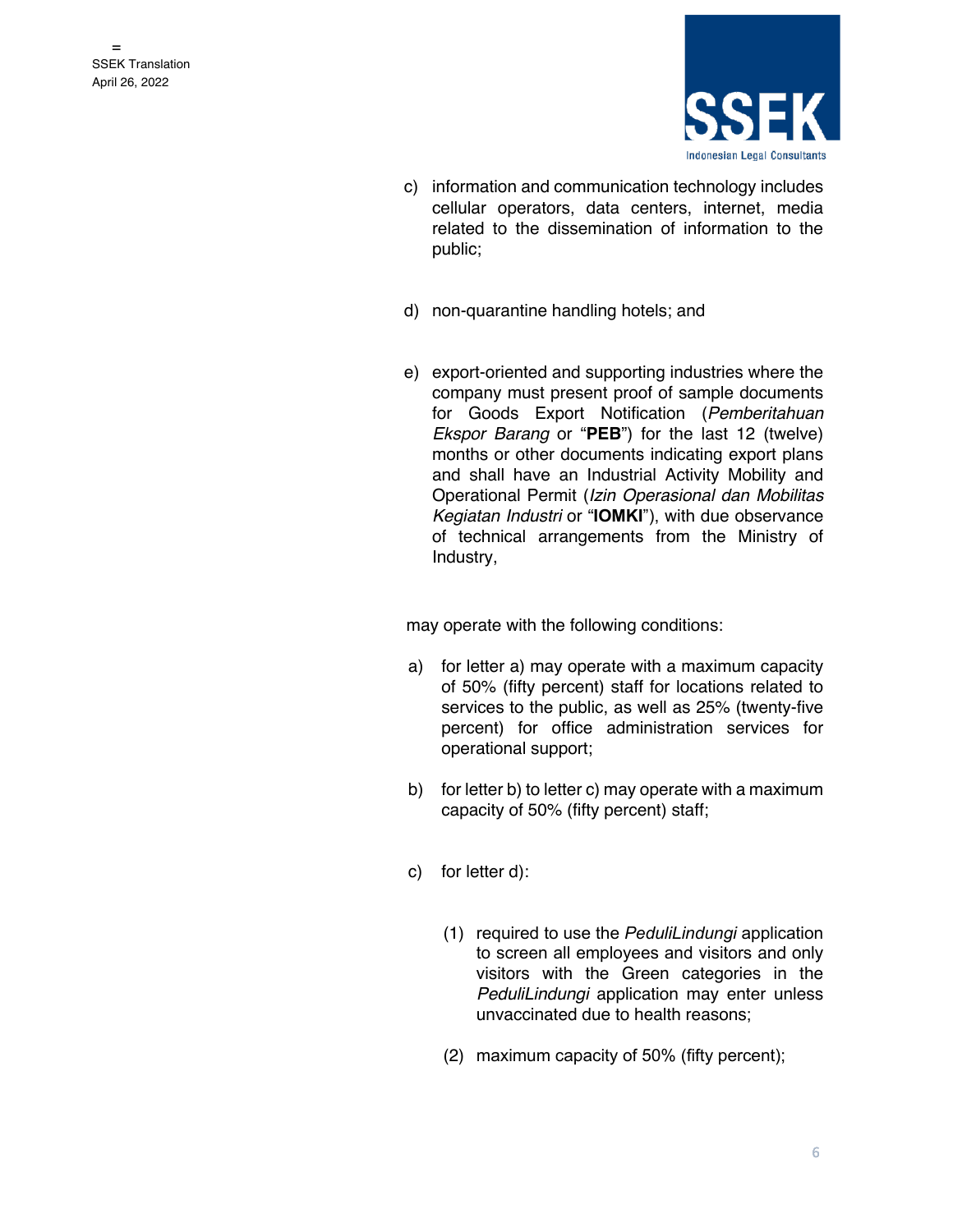

- c) information and communication technology includes cellular operators, data centers, internet, media related to the dissemination of information to the public;
- d) non-quarantine handling hotels; and
- e) export-oriented and supporting industries where the company must present proof of sample documents for Goods Export Notification (*Pemberitahuan Ekspor Barang* or "**PEB**") for the last 12 (twelve) months or other documents indicating export plans and shall have an Industrial Activity Mobility and Operational Permit (*Izin Operasional dan Mobilitas Kegiatan Industri* or "**IOMKI**"), with due observance of technical arrangements from the Ministry of Industry,

- a) for letter a) may operate with a maximum capacity of 50% (fifty percent) staff for locations related to services to the public, as well as 25% (twenty-five percent) for office administration services for operational support;
- b) for letter b) to letter c) may operate with a maximum capacity of 50% (fifty percent) staff;
- c) for letter d):
	- (1) required to use the *PeduliLindungi* application to screen all employees and visitors and only visitors with the Green categories in the *PeduliLindungi* application may enter unless unvaccinated due to health reasons;
	- (2) maximum capacity of 50% (fifty percent);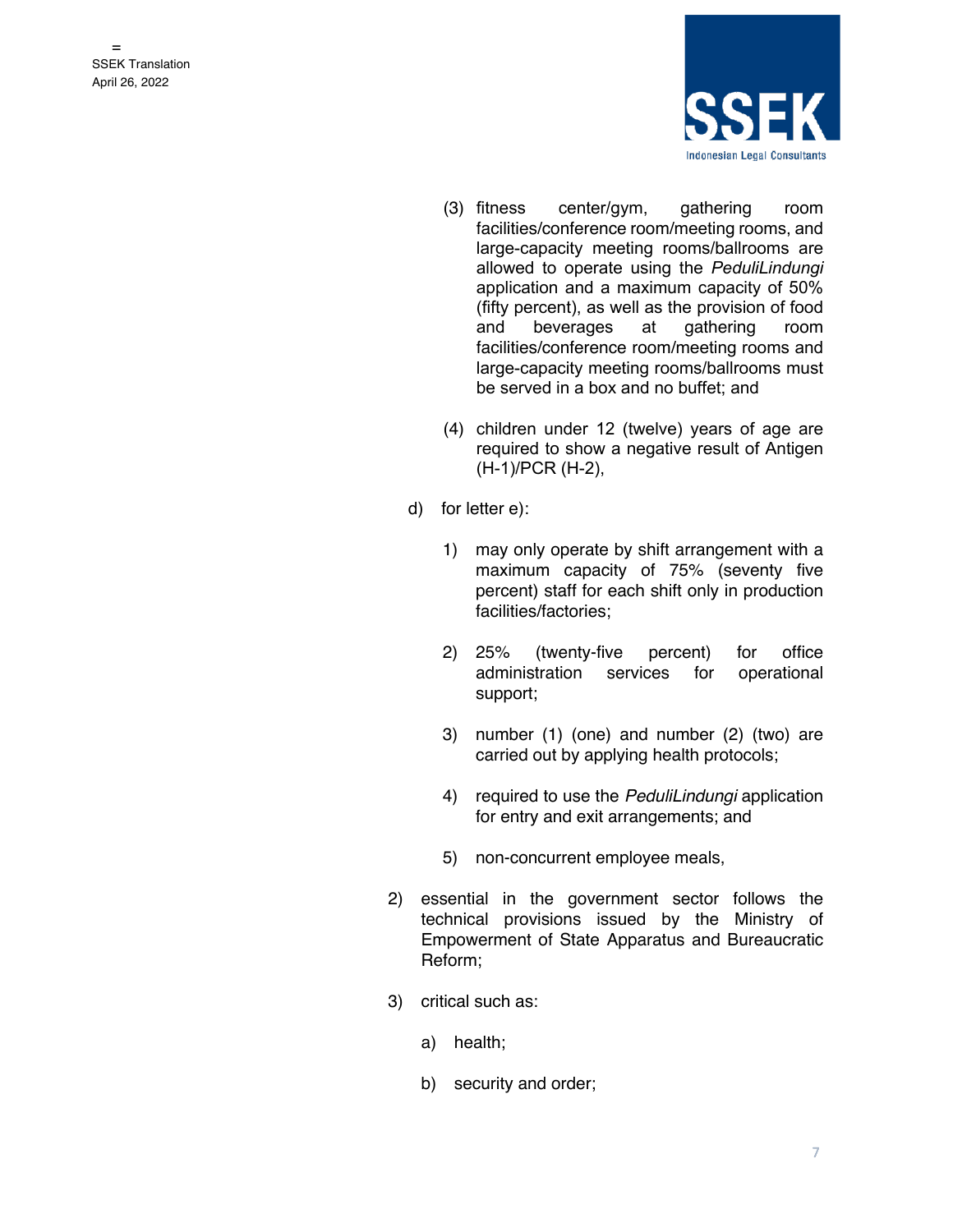

- (3) fitness center/gym, gathering room facilities/conference room/meeting rooms, and large-capacity meeting rooms/ballrooms are allowed to operate using the *PeduliLindungi* application and a maximum capacity of 50% (fifty percent), as well as the provision of food and beverages at gathering room facilities/conference room/meeting rooms and large-capacity meeting rooms/ballrooms must be served in a box and no buffet; and
- (4) children under 12 (twelve) years of age are required to show a negative result of Antigen (H-1)/PCR (H-2),
- d) for letter e):
	- 1) may only operate by shift arrangement with a maximum capacity of 75% (seventy five percent) staff for each shift only in production facilities/factories;
	- 2) 25% (twenty-five percent) for office administration services for operational support;
	- 3) number (1) (one) and number (2) (two) are carried out by applying health protocols;
	- 4) required to use the *PeduliLindungi* application for entry and exit arrangements; and
	- 5) non-concurrent employee meals,
- 2) essential in the government sector follows the technical provisions issued by the Ministry of Empowerment of State Apparatus and Bureaucratic Reform;
- 3) critical such as:
	- a) health;
	- b) security and order;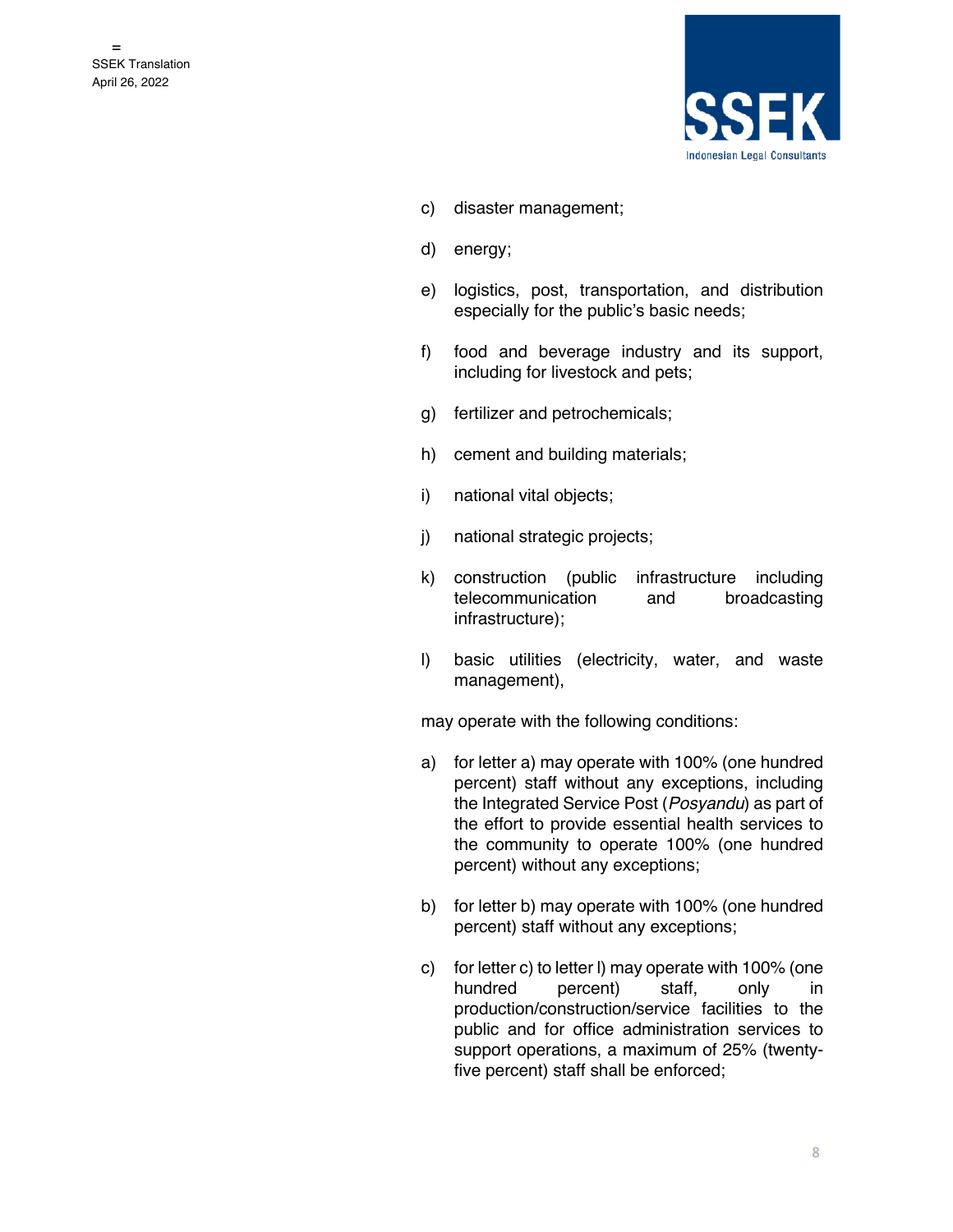

- c) disaster management;
- d) energy;
- e) logistics, post, transportation, and distribution especially for the public's basic needs;
- f) food and beverage industry and its support, including for livestock and pets;
- g) fertilizer and petrochemicals;
- h) cement and building materials;
- i) national vital objects;
- j) national strategic projects;
- k) construction (public infrastructure including telecommunication and broadcasting infrastructure);
- l) basic utilities (electricity, water, and waste management),

- a) for letter a) may operate with 100% (one hundred percent) staff without any exceptions, including the Integrated Service Post (*Posyandu*) as part of the effort to provide essential health services to the community to operate 100% (one hundred percent) without any exceptions;
- b) for letter b) may operate with 100% (one hundred percent) staff without any exceptions;
- c) for letter c) to letter l) may operate with 100% (one hundred percent) staff, only in production/construction/service facilities to the public and for office administration services to support operations, a maximum of 25% (twentyfive percent) staff shall be enforced;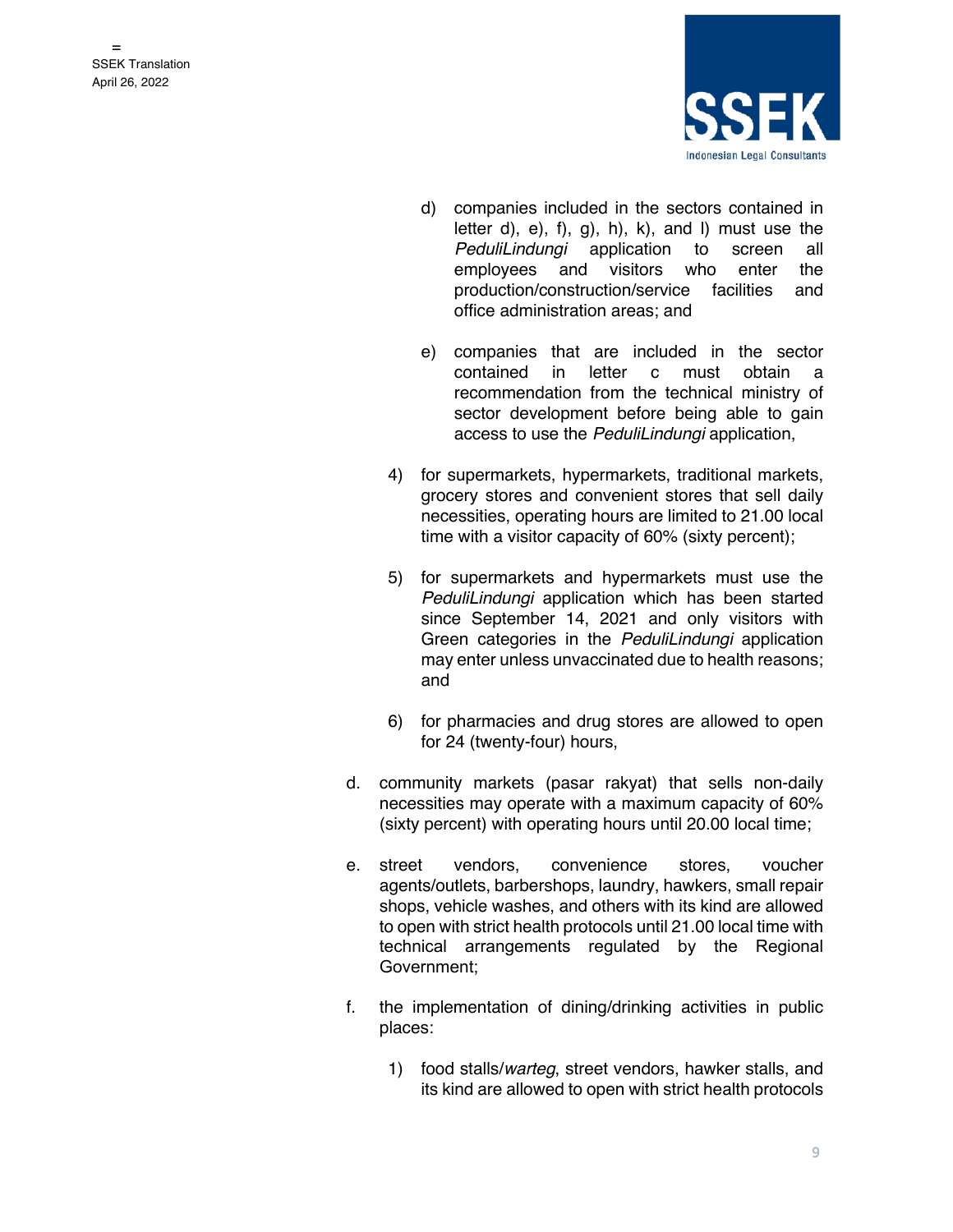

- d) companies included in the sectors contained in letter d),  $e$ ,  $f$ ,  $g$ ,  $h$ ,  $k$ ,  $h$ ,  $h$ ,  $h$ ,  $h$  and  $h$  must use the *PeduliLindungi* application to screen all employees and visitors who enter the production/construction/service facilities and office administration areas; and
- e) companies that are included in the sector contained in letter c must obtain a recommendation from the technical ministry of sector development before being able to gain access to use the *PeduliLindungi* application,
- 4) for supermarkets, hypermarkets, traditional markets, grocery stores and convenient stores that sell daily necessities, operating hours are limited to 21.00 local time with a visitor capacity of 60% (sixty percent);
- 5) for supermarkets and hypermarkets must use the *PeduliLindungi* application which has been started since September 14, 2021 and only visitors with Green categories in the *PeduliLindungi* application may enter unless unvaccinated due to health reasons; and
- 6) for pharmacies and drug stores are allowed to open for 24 (twenty-four) hours,
- d. community markets (pasar rakyat) that sells non-daily necessities may operate with a maximum capacity of 60% (sixty percent) with operating hours until 20.00 local time;
- e. street vendors, convenience stores, voucher agents/outlets, barbershops, laundry, hawkers, small repair shops, vehicle washes, and others with its kind are allowed to open with strict health protocols until 21.00 local time with technical arrangements regulated by the Regional Government;
- f. the implementation of dining/drinking activities in public places:
	- 1) food stalls/*warteg*, street vendors, hawker stalls, and its kind are allowed to open with strict health protocols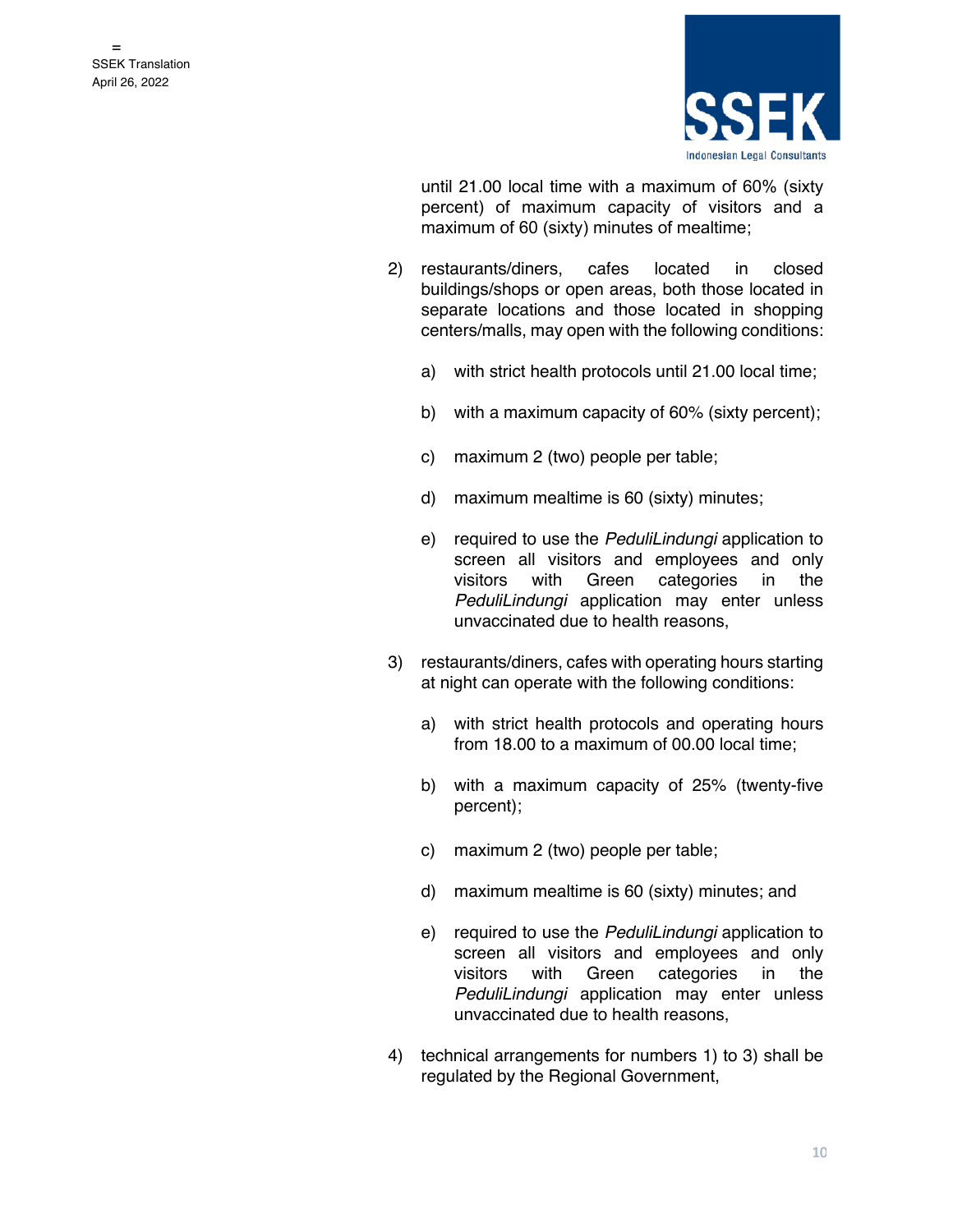

until 21.00 local time with a maximum of 60% (sixty percent) of maximum capacity of visitors and a maximum of 60 (sixty) minutes of mealtime;

- 2) restaurants/diners, cafes located in closed buildings/shops or open areas, both those located in separate locations and those located in shopping centers/malls, may open with the following conditions:
	- a) with strict health protocols until 21.00 local time;
	- b) with a maximum capacity of 60% (sixty percent);
	- c) maximum 2 (two) people per table;
	- d) maximum mealtime is 60 (sixty) minutes;
	- e) required to use the *PeduliLindungi* application to screen all visitors and employees and only visitors with Green categories in the *PeduliLindungi* application may enter unless unvaccinated due to health reasons,
- 3) restaurants/diners, cafes with operating hours starting at night can operate with the following conditions:
	- a) with strict health protocols and operating hours from 18.00 to a maximum of 00.00 local time;
	- b) with a maximum capacity of 25% (twenty-five percent);
	- c) maximum 2 (two) people per table;
	- d) maximum mealtime is 60 (sixty) minutes; and
	- e) required to use the *PeduliLindungi* application to screen all visitors and employees and only visitors with Green categories in the *PeduliLindungi* application may enter unless unvaccinated due to health reasons,
- 4) technical arrangements for numbers 1) to 3) shall be regulated by the Regional Government,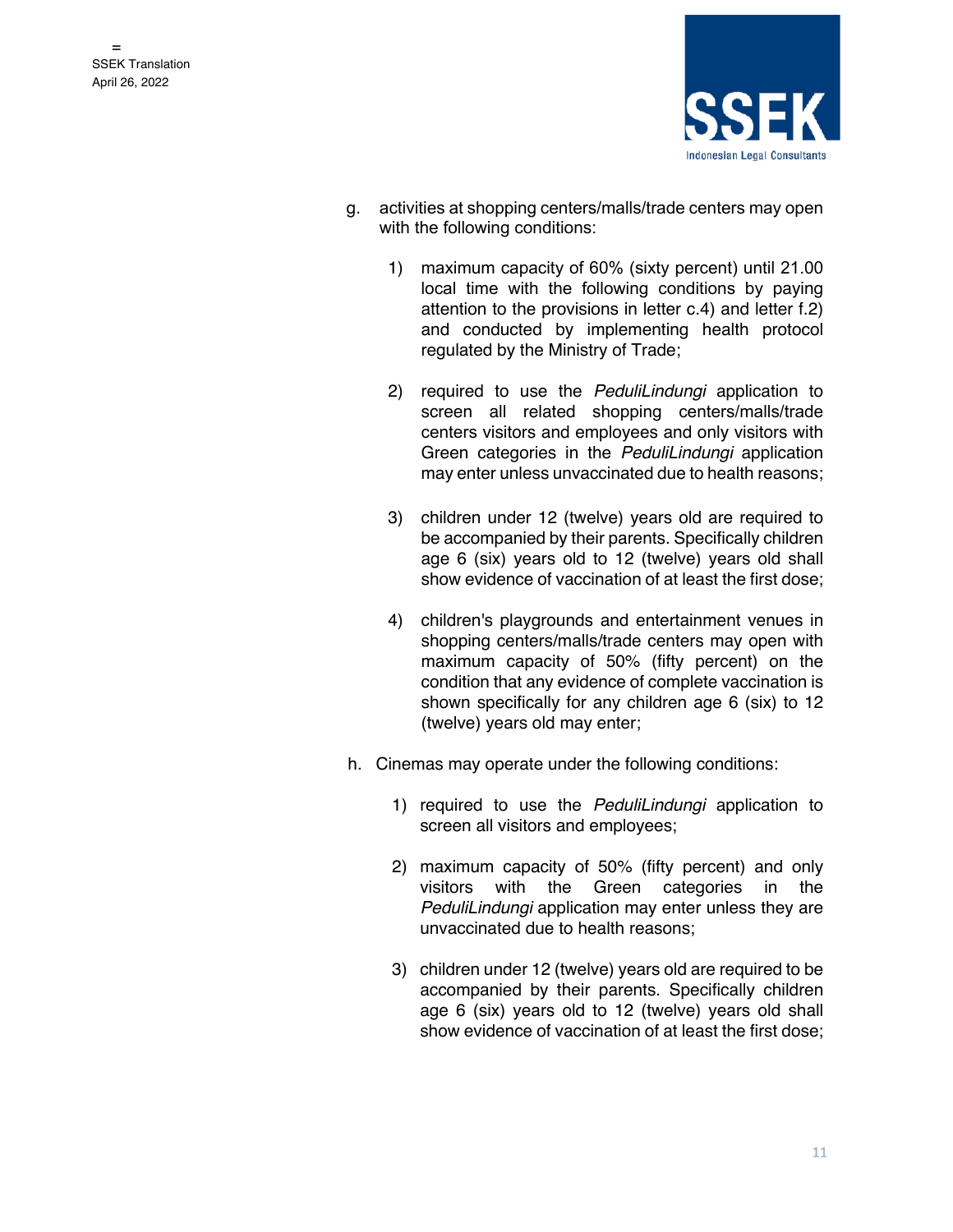

- g. activities at shopping centers/malls/trade centers may open with the following conditions:
	- 1) maximum capacity of 60% (sixty percent) until 21.00 local time with the following conditions by paying attention to the provisions in letter c.4) and letter f.2) and conducted by implementing health protocol regulated by the Ministry of Trade;
	- 2) required to use the *PeduliLindungi* application to screen all related shopping centers/malls/trade centers visitors and employees and only visitors with Green categories in the *PeduliLindungi* application may enter unless unvaccinated due to health reasons;
	- 3) children under 12 (twelve) years old are required to be accompanied by their parents. Specifically children age 6 (six) years old to 12 (twelve) years old shall show evidence of vaccination of at least the first dose;
	- 4) children's playgrounds and entertainment venues in shopping centers/malls/trade centers may open with maximum capacity of 50% (fifty percent) on the condition that any evidence of complete vaccination is shown specifically for any children age 6 (six) to 12 (twelve) years old may enter;
- h. Cinemas may operate under the following conditions:
	- 1) required to use the *PeduliLindungi* application to screen all visitors and employees;
	- 2) maximum capacity of 50% (fifty percent) and only visitors with the Green categories in the *PeduliLindungi* application may enter unless they are unvaccinated due to health reasons;
	- 3) children under 12 (twelve) years old are required to be accompanied by their parents. Specifically children age 6 (six) years old to 12 (twelve) years old shall show evidence of vaccination of at least the first dose;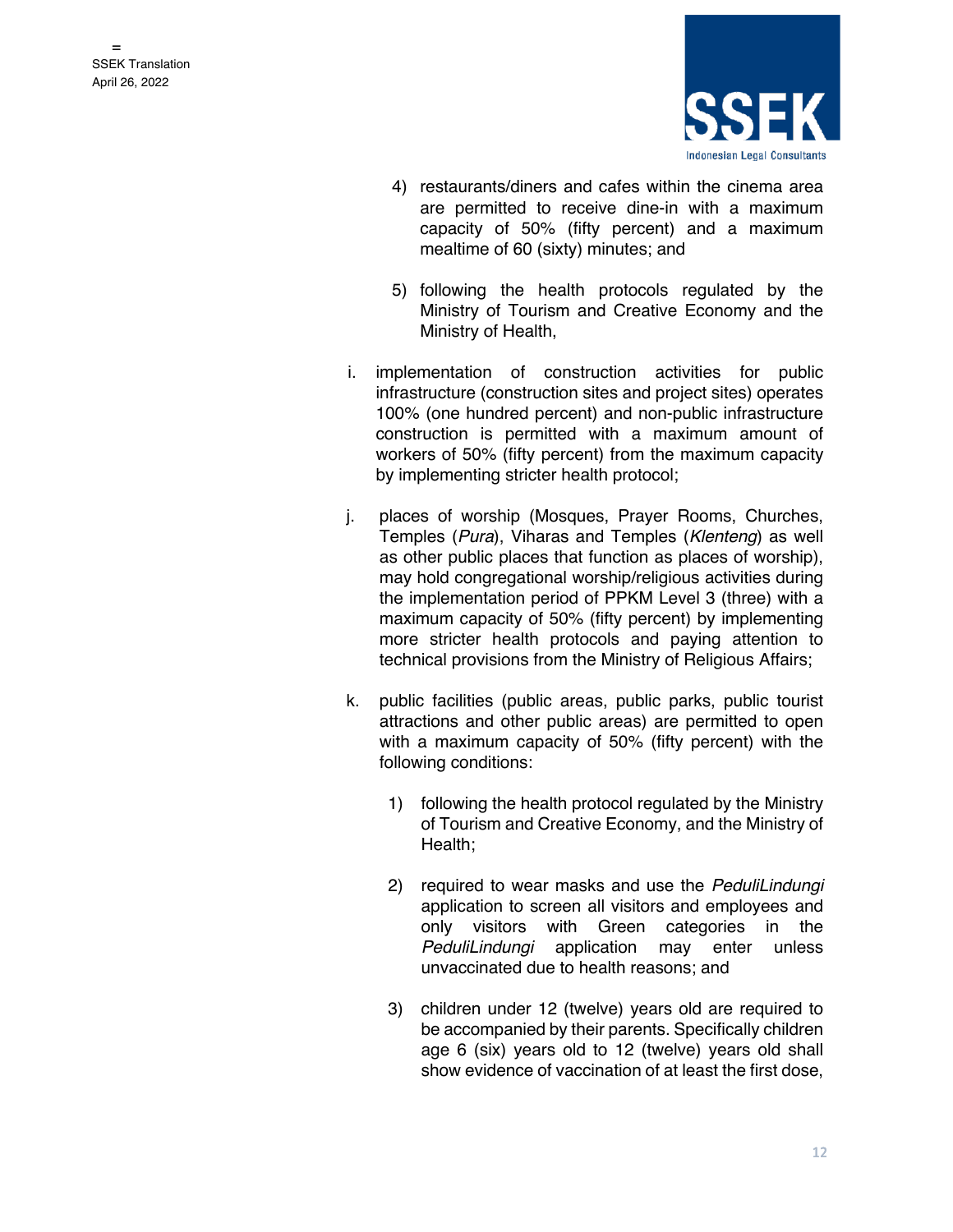

- 4) restaurants/diners and cafes within the cinema area are permitted to receive dine-in with a maximum capacity of 50% (fifty percent) and a maximum mealtime of 60 (sixty) minutes; and
- 5) following the health protocols regulated by the Ministry of Tourism and Creative Economy and the Ministry of Health,
- i. implementation of construction activities for public infrastructure (construction sites and project sites) operates 100% (one hundred percent) and non-public infrastructure construction is permitted with a maximum amount of workers of 50% (fifty percent) from the maximum capacity by implementing stricter health protocol;
- j. places of worship (Mosques, Prayer Rooms, Churches, Temples (*Pura*), Viharas and Temples (*Klenteng*) as well as other public places that function as places of worship), may hold congregational worship/religious activities during the implementation period of PPKM Level 3 (three) with a maximum capacity of 50% (fifty percent) by implementing more stricter health protocols and paying attention to technical provisions from the Ministry of Religious Affairs;
- k. public facilities (public areas, public parks, public tourist attractions and other public areas) are permitted to open with a maximum capacity of 50% (fifty percent) with the following conditions:
	- 1) following the health protocol regulated by the Ministry of Tourism and Creative Economy, and the Ministry of Health;
	- 2) required to wear masks and use the *PeduliLindungi* application to screen all visitors and employees and only visitors with Green categories in the *PeduliLindungi* application may enter unless unvaccinated due to health reasons; and
	- 3) children under 12 (twelve) years old are required to be accompanied by their parents. Specifically children age 6 (six) years old to 12 (twelve) years old shall show evidence of vaccination of at least the first dose,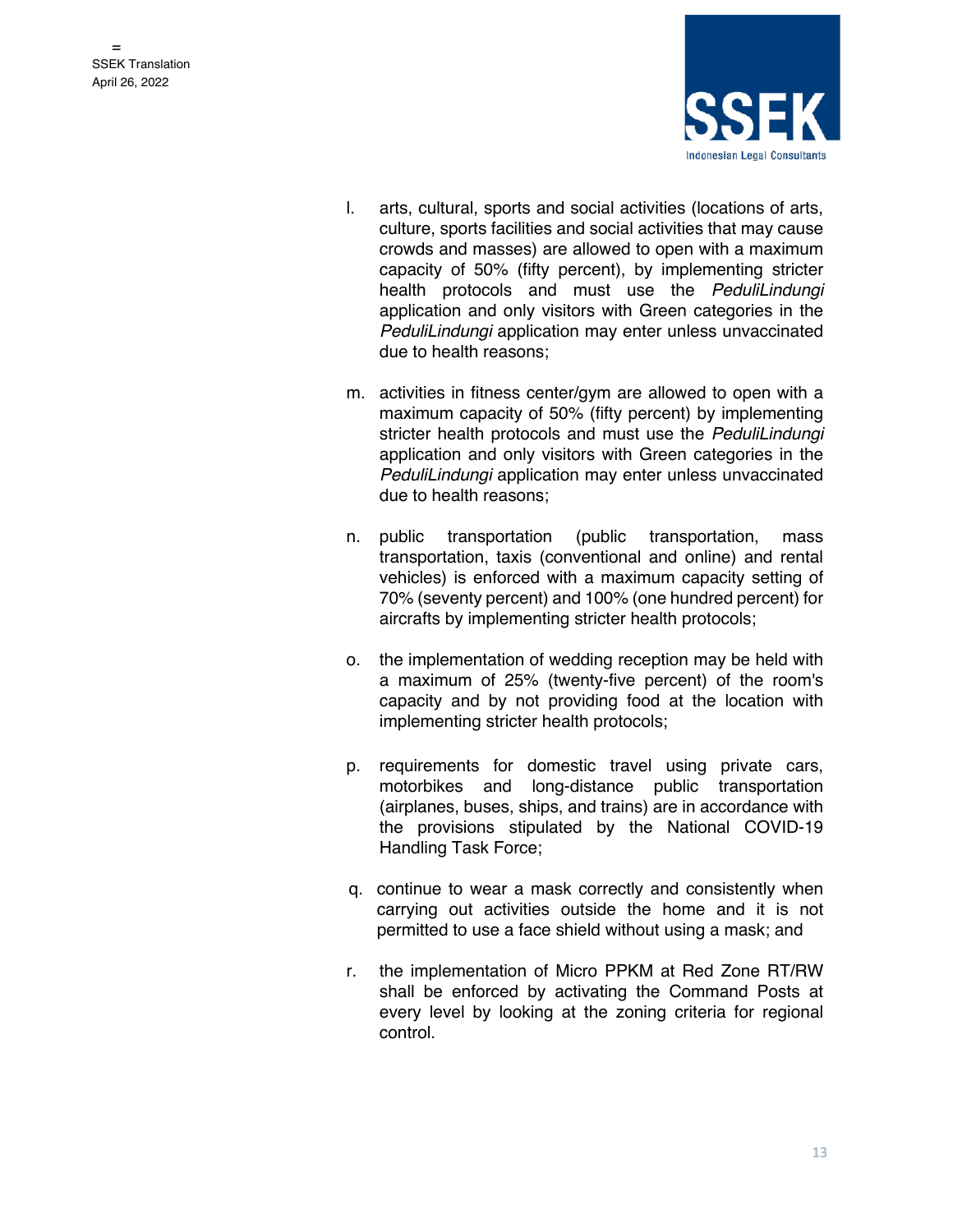

- l. arts, cultural, sports and social activities (locations of arts, culture, sports facilities and social activities that may cause crowds and masses) are allowed to open with a maximum capacity of 50% (fifty percent), by implementing stricter health protocols and must use the *PeduliLindungi* application and only visitors with Green categories in the *PeduliLindungi* application may enter unless unvaccinated due to health reasons;
- m. activities in fitness center/gym are allowed to open with a maximum capacity of 50% (fifty percent) by implementing stricter health protocols and must use the *PeduliLindungi* application and only visitors with Green categories in the *PeduliLindungi* application may enter unless unvaccinated due to health reasons;
- n. public transportation (public transportation, mass transportation, taxis (conventional and online) and rental vehicles) is enforced with a maximum capacity setting of 70% (seventy percent) and 100% (one hundred percent) for aircrafts by implementing stricter health protocols;
- o. the implementation of wedding reception may be held with a maximum of 25% (twenty-five percent) of the room's capacity and by not providing food at the location with implementing stricter health protocols;
- p. requirements for domestic travel using private cars, motorbikes and long-distance public transportation (airplanes, buses, ships, and trains) are in accordance with the provisions stipulated by the National COVID-19 Handling Task Force;
- q. continue to wear a mask correctly and consistently when carrying out activities outside the home and it is not permitted to use a face shield without using a mask; and
- r. the implementation of Micro PPKM at Red Zone RT/RW shall be enforced by activating the Command Posts at every level by looking at the zoning criteria for regional control.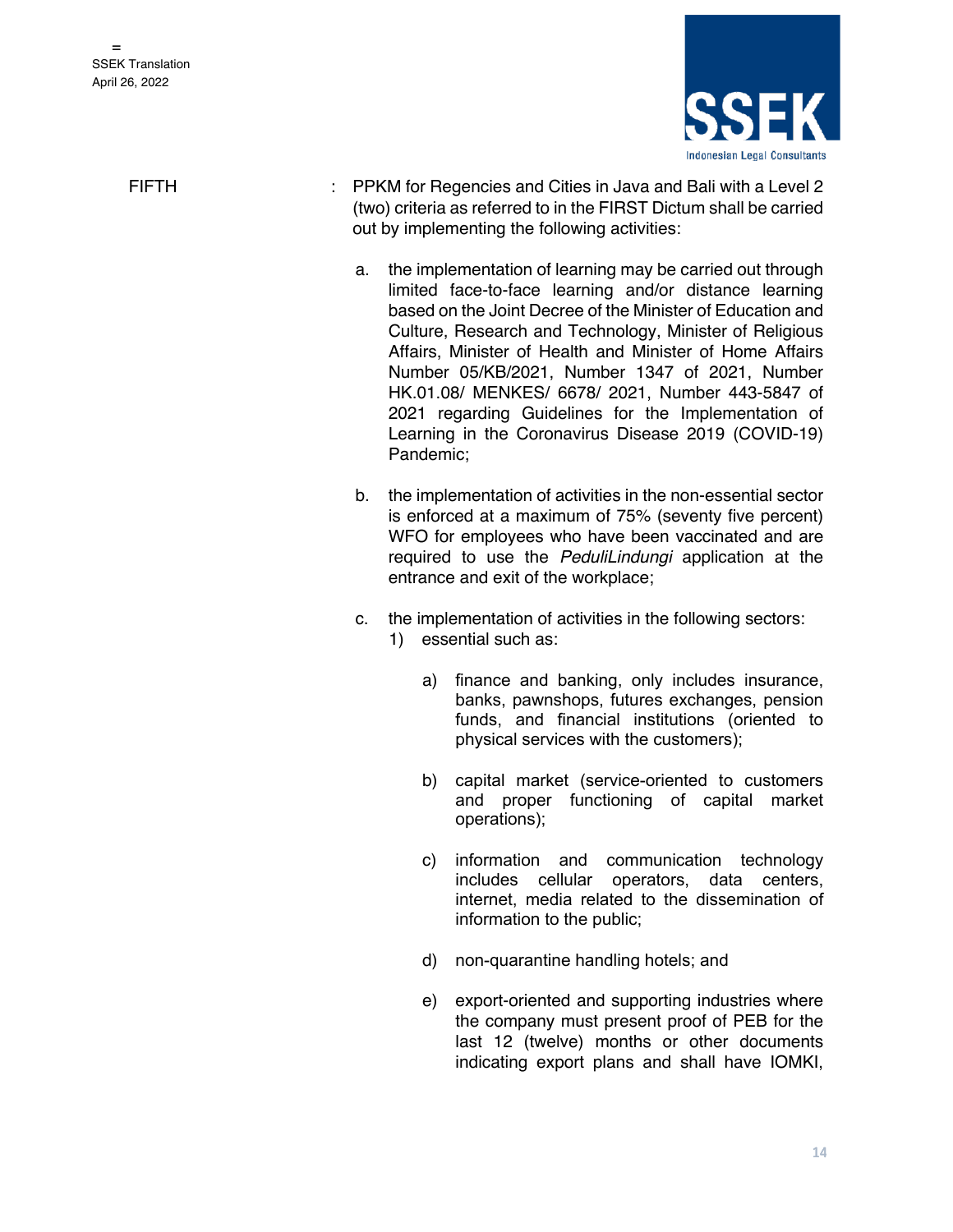

- FIFTH : PPKM for Regencies and Cities in Java and Bali with a Level 2 (two) criteria as referred to in the FIRST Dictum shall be carried out by implementing the following activities:
	- a. the implementation of learning may be carried out through limited face-to-face learning and/or distance learning based on the Joint Decree of the Minister of Education and Culture, Research and Technology, Minister of Religious Affairs, Minister of Health and Minister of Home Affairs Number 05/KB/2021, Number 1347 of 2021, Number HK.01.08/ MENKES/ 6678/ 2021, Number 443-5847 of 2021 regarding Guidelines for the Implementation of Learning in the Coronavirus Disease 2019 (COVID-19) Pandemic;
	- b. the implementation of activities in the non-essential sector is enforced at a maximum of 75% (seventy five percent) WFO for employees who have been vaccinated and are required to use the *PeduliLindungi* application at the entrance and exit of the workplace;
	- c. the implementation of activities in the following sectors:
		- 1) essential such as:
			- a) finance and banking, only includes insurance, banks, pawnshops, futures exchanges, pension funds, and financial institutions (oriented to physical services with the customers);
			- b) capital market (service-oriented to customers and proper functioning of capital market operations);
			- c) information and communication technology includes cellular operators, data centers, internet, media related to the dissemination of information to the public;
			- d) non-quarantine handling hotels; and
			- e) export-oriented and supporting industries where the company must present proof of PEB for the last 12 (twelve) months or other documents indicating export plans and shall have IOMKI,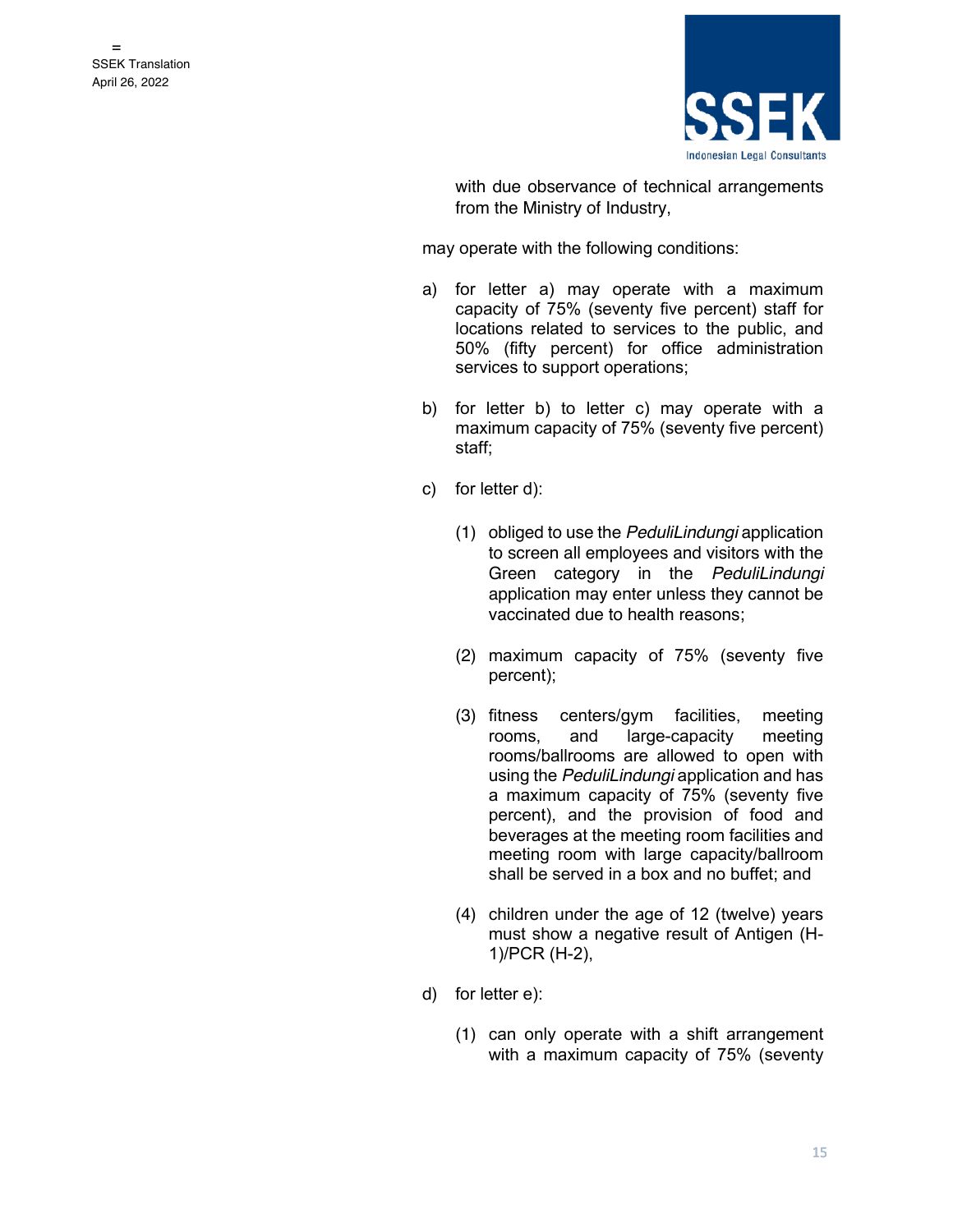

with due observance of technical arrangements from the Ministry of Industry,

- a) for letter a) may operate with a maximum capacity of 75% (seventy five percent) staff for locations related to services to the public, and 50% (fifty percent) for office administration services to support operations;
- b) for letter b) to letter c) may operate with a maximum capacity of 75% (seventy five percent) staff;
- c) for letter d):
	- (1) obliged to use the *PeduliLindungi* application to screen all employees and visitors with the Green category in the *PeduliLindungi* application may enter unless they cannot be vaccinated due to health reasons;
	- (2) maximum capacity of 75% (seventy five percent);
	- (3) fitness centers/gym facilities, meeting rooms, and large-capacity meeting rooms/ballrooms are allowed to open with using the *PeduliLindungi* application and has a maximum capacity of 75% (seventy five percent), and the provision of food and beverages at the meeting room facilities and meeting room with large capacity/ballroom shall be served in a box and no buffet; and
	- (4) children under the age of 12 (twelve) years must show a negative result of Antigen (H-1)/PCR (H-2),
- d) for letter e):
	- (1) can only operate with a shift arrangement with a maximum capacity of 75% (seventy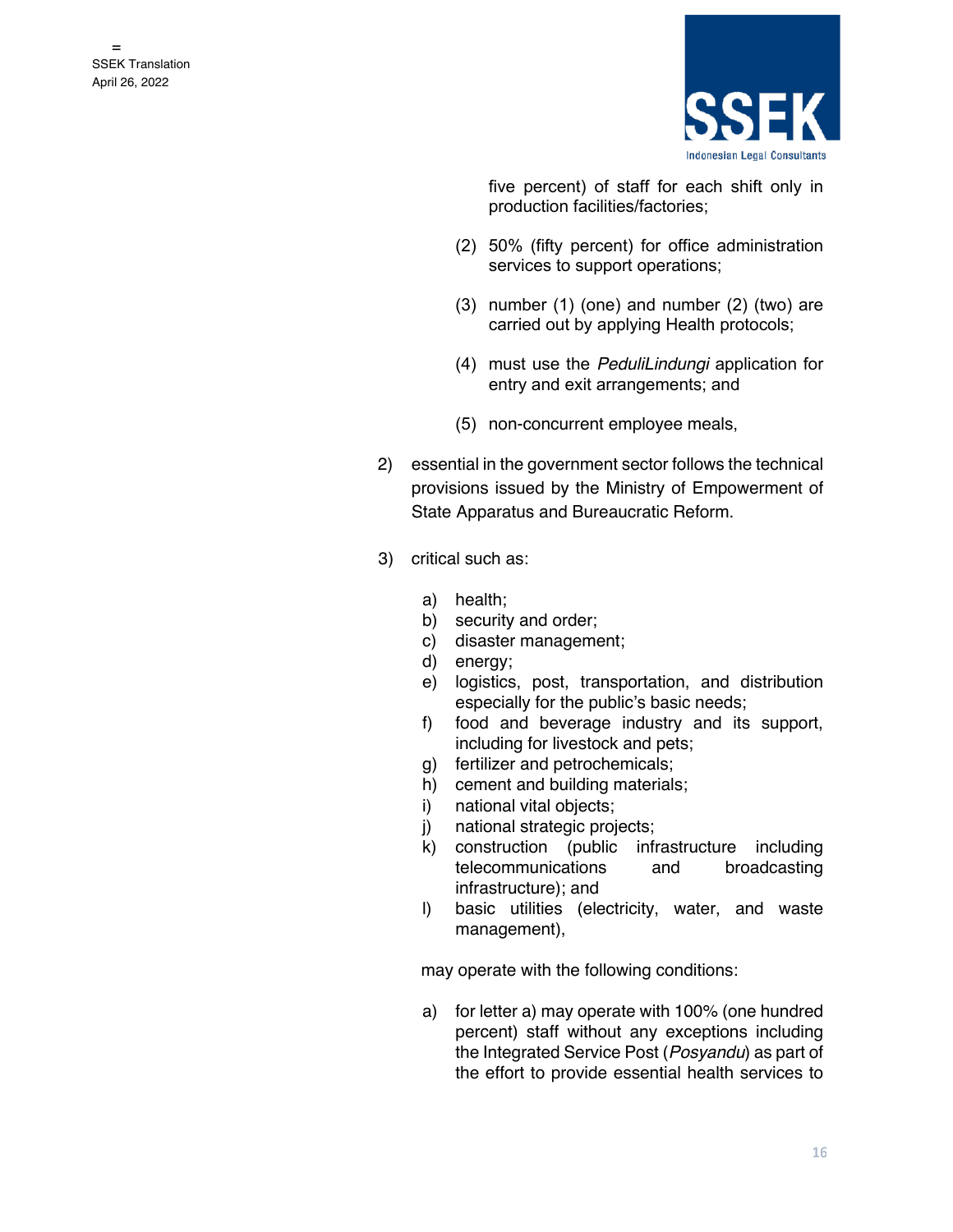

five percent) of staff for each shift only in production facilities/factories;

- (2) 50% (fifty percent) for office administration services to support operations;
- (3) number (1) (one) and number (2) (two) are carried out by applying Health protocols;
- (4) must use the *PeduliLindungi* application for entry and exit arrangements; and
- (5) non-concurrent employee meals,
- 2) essential in the government sector follows the technical provisions issued by the Ministry of Empowerment of State Apparatus and Bureaucratic Reform.
- 3) critical such as:
	- a) health;
	- b) security and order;
	- c) disaster management;
	- d) energy;
	- e) logistics, post, transportation, and distribution especially for the public's basic needs;
	- f) food and beverage industry and its support, including for livestock and pets;
	- g) fertilizer and petrochemicals;
	- h) cement and building materials;
	- i) national vital objects;
	- j) national strategic projects;
	- k) construction (public infrastructure including telecommunications and broadcasting infrastructure); and
	- l) basic utilities (electricity, water, and waste management),

may operate with the following conditions:

a) for letter a) may operate with 100% (one hundred percent) staff without any exceptions including the Integrated Service Post (*Posyandu*) as part of the effort to provide essential health services to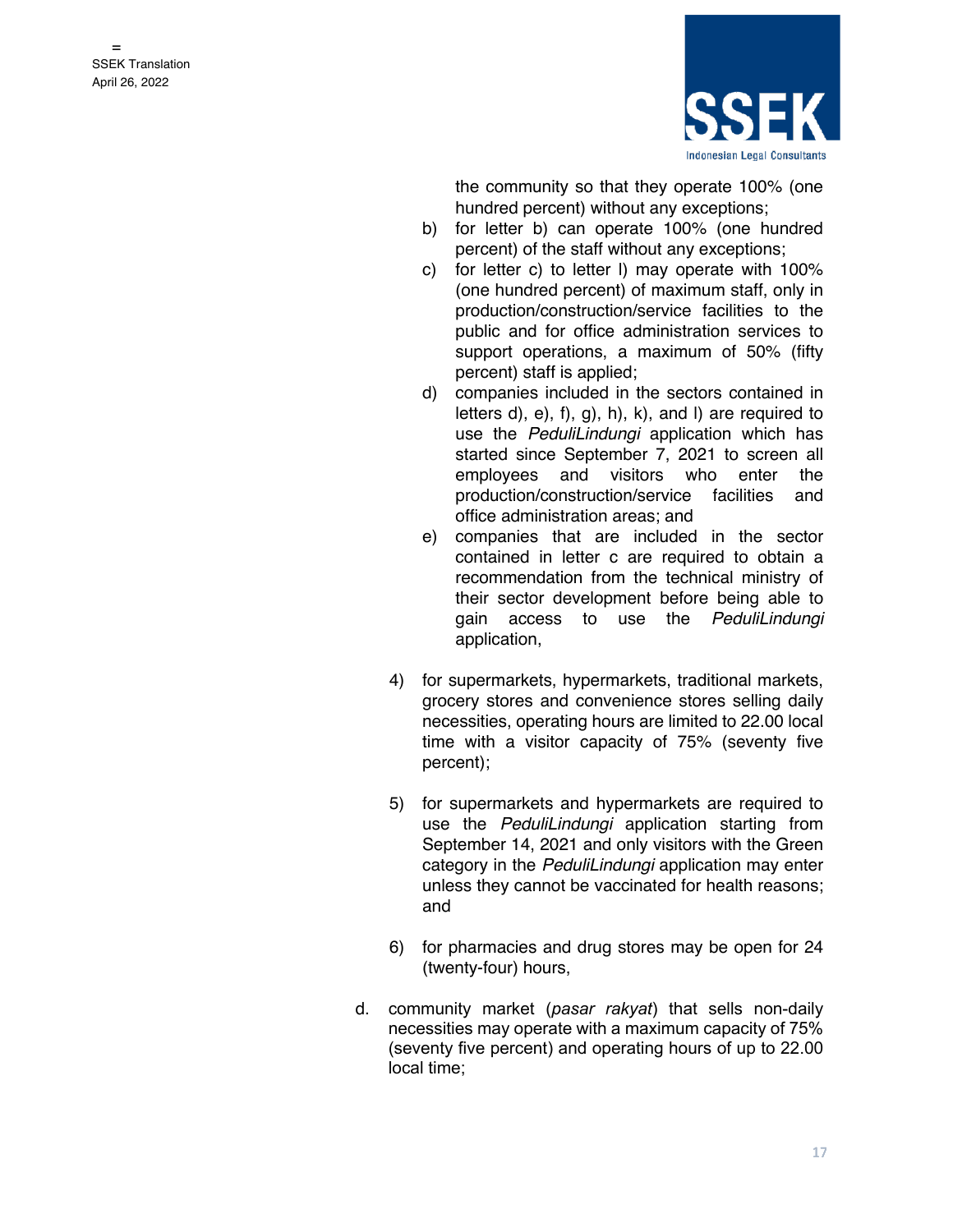

the community so that they operate 100% (one hundred percent) without any exceptions;

- b) for letter b) can operate 100% (one hundred percent) of the staff without any exceptions;
- c) for letter c) to letter l) may operate with 100% (one hundred percent) of maximum staff, only in production/construction/service facilities to the public and for office administration services to support operations, a maximum of 50% (fifty percent) staff is applied;
- d) companies included in the sectors contained in letters  $d$ ,  $e$ ,  $f$ ,  $g$ ,  $h$ ,  $k$ ,  $h$ ,  $e$ ,  $h$  and  $h$  are required to use the *PeduliLindungi* application which has started since September 7, 2021 to screen all employees and visitors who enter the production/construction/service facilities and office administration areas; and
- e) companies that are included in the sector contained in letter c are required to obtain a recommendation from the technical ministry of their sector development before being able to gain access to use the *PeduliLindungi* application,
- 4) for supermarkets, hypermarkets, traditional markets, grocery stores and convenience stores selling daily necessities, operating hours are limited to 22.00 local time with a visitor capacity of 75% (seventy five percent);
- 5) for supermarkets and hypermarkets are required to use the *PeduliLindungi* application starting from September 14, 2021 and only visitors with the Green category in the *PeduliLindungi* application may enter unless they cannot be vaccinated for health reasons; and
- 6) for pharmacies and drug stores may be open for 24 (twenty-four) hours,
- d. community market (*pasar rakyat*) that sells non-daily necessities may operate with a maximum capacity of 75% (seventy five percent) and operating hours of up to 22.00 local time;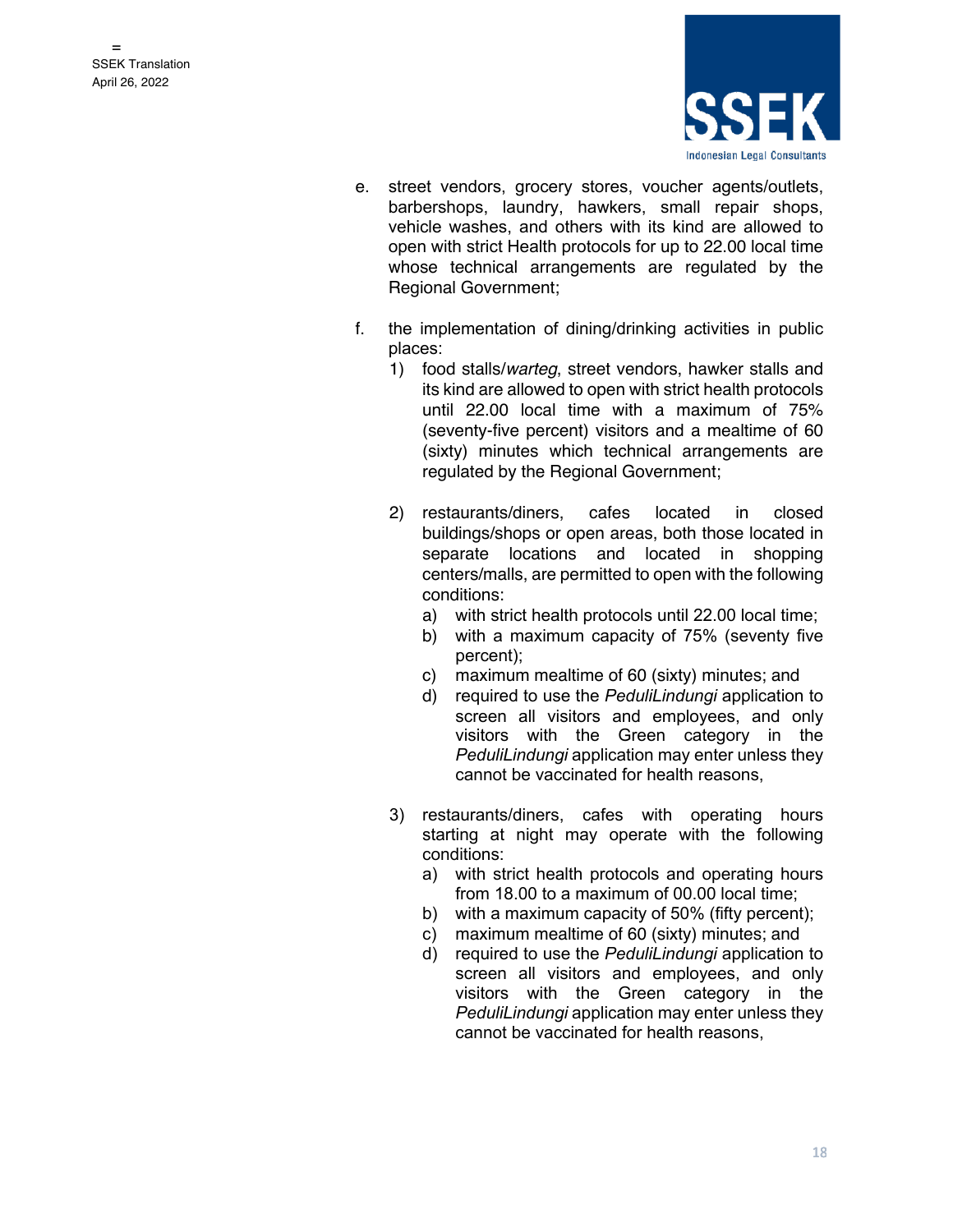

- e. street vendors, grocery stores, voucher agents/outlets, barbershops, laundry, hawkers, small repair shops, vehicle washes, and others with its kind are allowed to open with strict Health protocols for up to 22.00 local time whose technical arrangements are regulated by the Regional Government;
- f. the implementation of dining/drinking activities in public places:
	- 1) food stalls/*warteg*, street vendors, hawker stalls and its kind are allowed to open with strict health protocols until 22.00 local time with a maximum of 75% (seventy-five percent) visitors and a mealtime of 60 (sixty) minutes which technical arrangements are regulated by the Regional Government;
	- 2) restaurants/diners, cafes located in closed buildings/shops or open areas, both those located in separate locations and located in shopping centers/malls, are permitted to open with the following conditions:
		- a) with strict health protocols until 22.00 local time;
		- b) with a maximum capacity of 75% (seventy five percent);
		- c) maximum mealtime of 60 (sixty) minutes; and
		- d) required to use the *PeduliLindungi* application to screen all visitors and employees, and only visitors with the Green category in the *PeduliLindungi* application may enter unless they cannot be vaccinated for health reasons,
	- 3) restaurants/diners, cafes with operating hours starting at night may operate with the following conditions:
		- a) with strict health protocols and operating hours from 18.00 to a maximum of 00.00 local time;
		- b) with a maximum capacity of 50% (fifty percent);
		- c) maximum mealtime of 60 (sixty) minutes; and
		- d) required to use the *PeduliLindungi* application to screen all visitors and employees, and only visitors with the Green category in the *PeduliLindungi* application may enter unless they cannot be vaccinated for health reasons,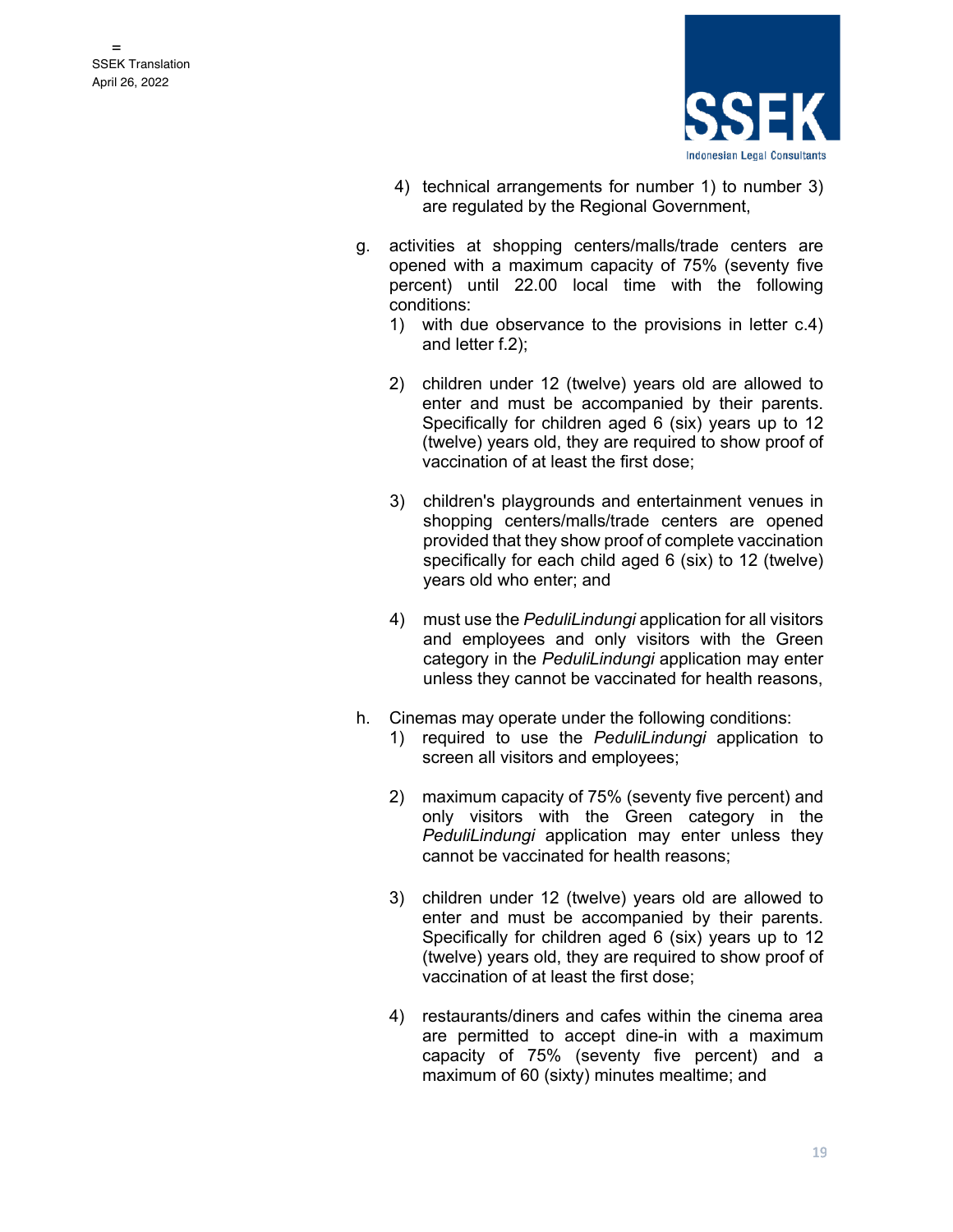

- 4) technical arrangements for number 1) to number 3) are regulated by the Regional Government,
- g. activities at shopping centers/malls/trade centers are opened with a maximum capacity of 75% (seventy five percent) until 22.00 local time with the following conditions:
	- 1) with due observance to the provisions in letter c.4) and letter f.2);
	- 2) children under 12 (twelve) years old are allowed to enter and must be accompanied by their parents. Specifically for children aged 6 (six) years up to 12 (twelve) years old, they are required to show proof of vaccination of at least the first dose;
	- 3) children's playgrounds and entertainment venues in shopping centers/malls/trade centers are opened provided that they show proof of complete vaccination specifically for each child aged 6 (six) to 12 (twelve) years old who enter; and
	- 4) must use the *PeduliLindungi* application for all visitors and employees and only visitors with the Green category in the *PeduliLindungi* application may enter unless they cannot be vaccinated for health reasons,
- h. Cinemas may operate under the following conditions:
	- 1) required to use the *PeduliLindungi* application to screen all visitors and employees;
	- 2) maximum capacity of 75% (seventy five percent) and only visitors with the Green category in the *PeduliLindungi* application may enter unless they cannot be vaccinated for health reasons;
	- 3) children under 12 (twelve) years old are allowed to enter and must be accompanied by their parents. Specifically for children aged 6 (six) years up to 12 (twelve) years old, they are required to show proof of vaccination of at least the first dose;
	- 4) restaurants/diners and cafes within the cinema area are permitted to accept dine-in with a maximum capacity of 75% (seventy five percent) and a maximum of 60 (sixty) minutes mealtime; and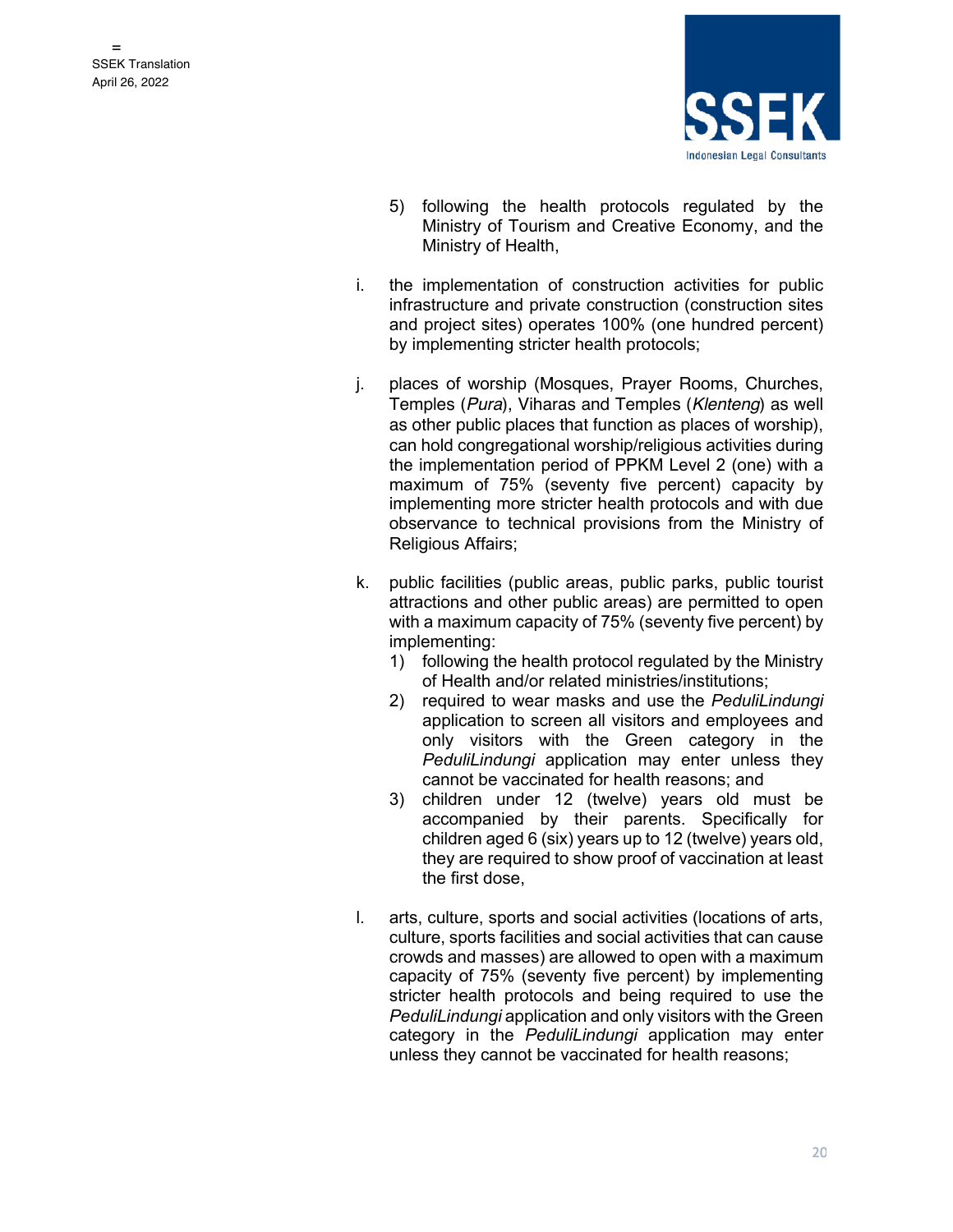

- 5) following the health protocols regulated by the Ministry of Tourism and Creative Economy, and the Ministry of Health,
- i. the implementation of construction activities for public infrastructure and private construction (construction sites and project sites) operates 100% (one hundred percent) by implementing stricter health protocols;
- j. places of worship (Mosques, Prayer Rooms, Churches, Temples (*Pura*), Viharas and Temples (*Klenteng*) as well as other public places that function as places of worship), can hold congregational worship/religious activities during the implementation period of PPKM Level 2 (one) with a maximum of 75% (seventy five percent) capacity by implementing more stricter health protocols and with due observance to technical provisions from the Ministry of Religious Affairs;
- k. public facilities (public areas, public parks, public tourist attractions and other public areas) are permitted to open with a maximum capacity of 75% (seventy five percent) by implementing:
	- 1) following the health protocol regulated by the Ministry of Health and/or related ministries/institutions;
	- 2) required to wear masks and use the *PeduliLindungi* application to screen all visitors and employees and only visitors with the Green category in the *PeduliLindungi* application may enter unless they cannot be vaccinated for health reasons; and
	- 3) children under 12 (twelve) years old must be accompanied by their parents. Specifically for children aged 6 (six) years up to 12 (twelve) years old, they are required to show proof of vaccination at least the first dose,
- l. arts, culture, sports and social activities (locations of arts, culture, sports facilities and social activities that can cause crowds and masses) are allowed to open with a maximum capacity of 75% (seventy five percent) by implementing stricter health protocols and being required to use the *PeduliLindungi* application and only visitors with the Green category in the *PeduliLindungi* application may enter unless they cannot be vaccinated for health reasons;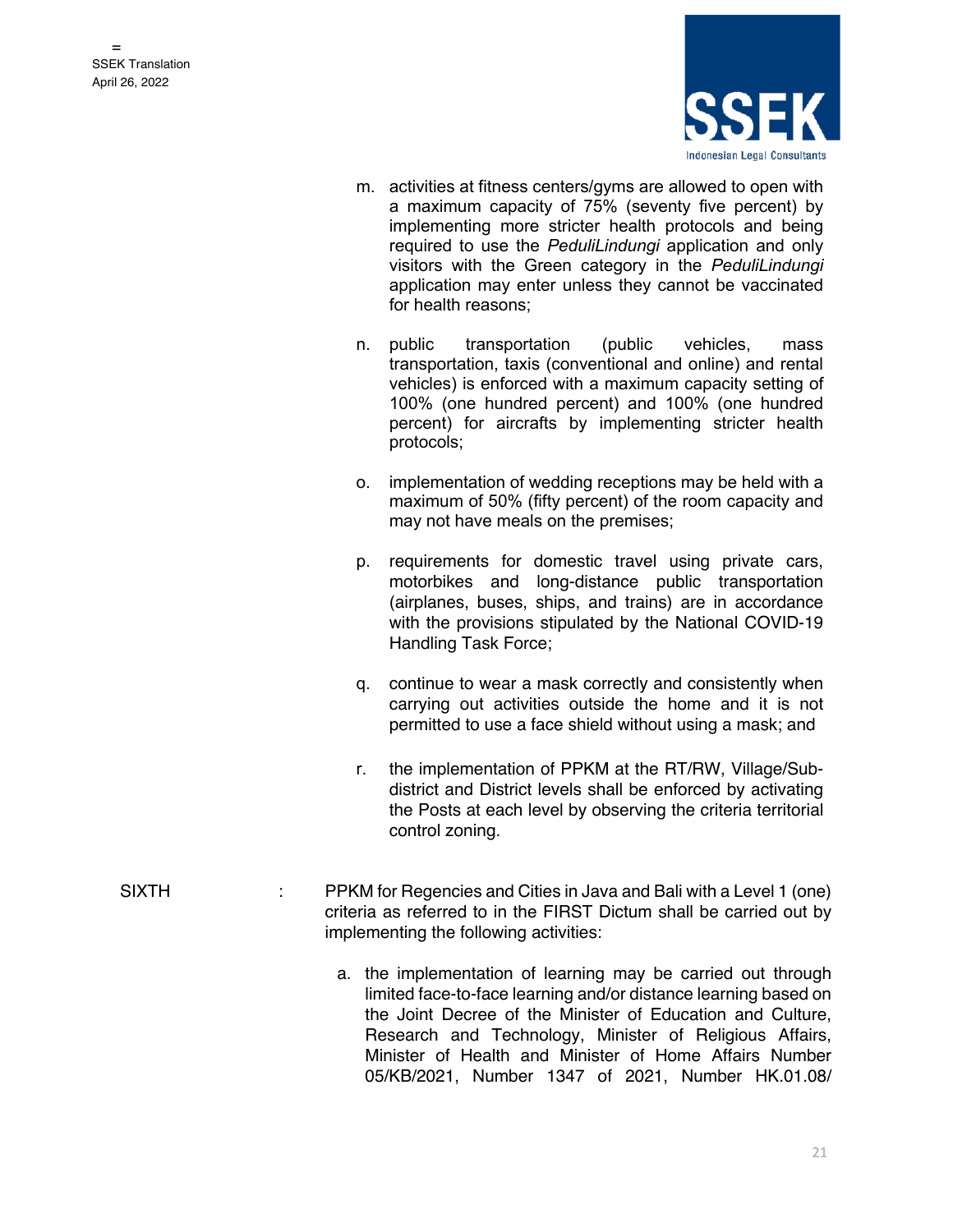

- m. activities at fitness centers/gyms are allowed to open with a maximum capacity of 75% (seventy five percent) by implementing more stricter health protocols and being required to use the *PeduliLindungi* application and only visitors with the Green category in the *PeduliLindungi* application may enter unless they cannot be vaccinated for health reasons;
- n. public transportation (public vehicles, mass transportation, taxis (conventional and online) and rental vehicles) is enforced with a maximum capacity setting of 100% (one hundred percent) and 100% (one hundred percent) for aircrafts by implementing stricter health protocols;
- o. implementation of wedding receptions may be held with a maximum of 50% (fifty percent) of the room capacity and may not have meals on the premises;
- p. requirements for domestic travel using private cars, motorbikes and long-distance public transportation (airplanes, buses, ships, and trains) are in accordance with the provisions stipulated by the National COVID-19 Handling Task Force;
- q. continue to wear a mask correctly and consistently when carrying out activities outside the home and it is not permitted to use a face shield without using a mask; and
- r. the implementation of PPKM at the RT/RW, Village/Subdistrict and District levels shall be enforced by activating the Posts at each level by observing the criteria territorial control zoning.
- SIXTH : PPKM for Regencies and Cities in Java and Bali with a Level 1 (one) criteria as referred to in the FIRST Dictum shall be carried out by implementing the following activities:
	- a. the implementation of learning may be carried out through limited face-to-face learning and/or distance learning based on the Joint Decree of the Minister of Education and Culture, Research and Technology, Minister of Religious Affairs, Minister of Health and Minister of Home Affairs Number 05/KB/2021, Number 1347 of 2021, Number HK.01.08/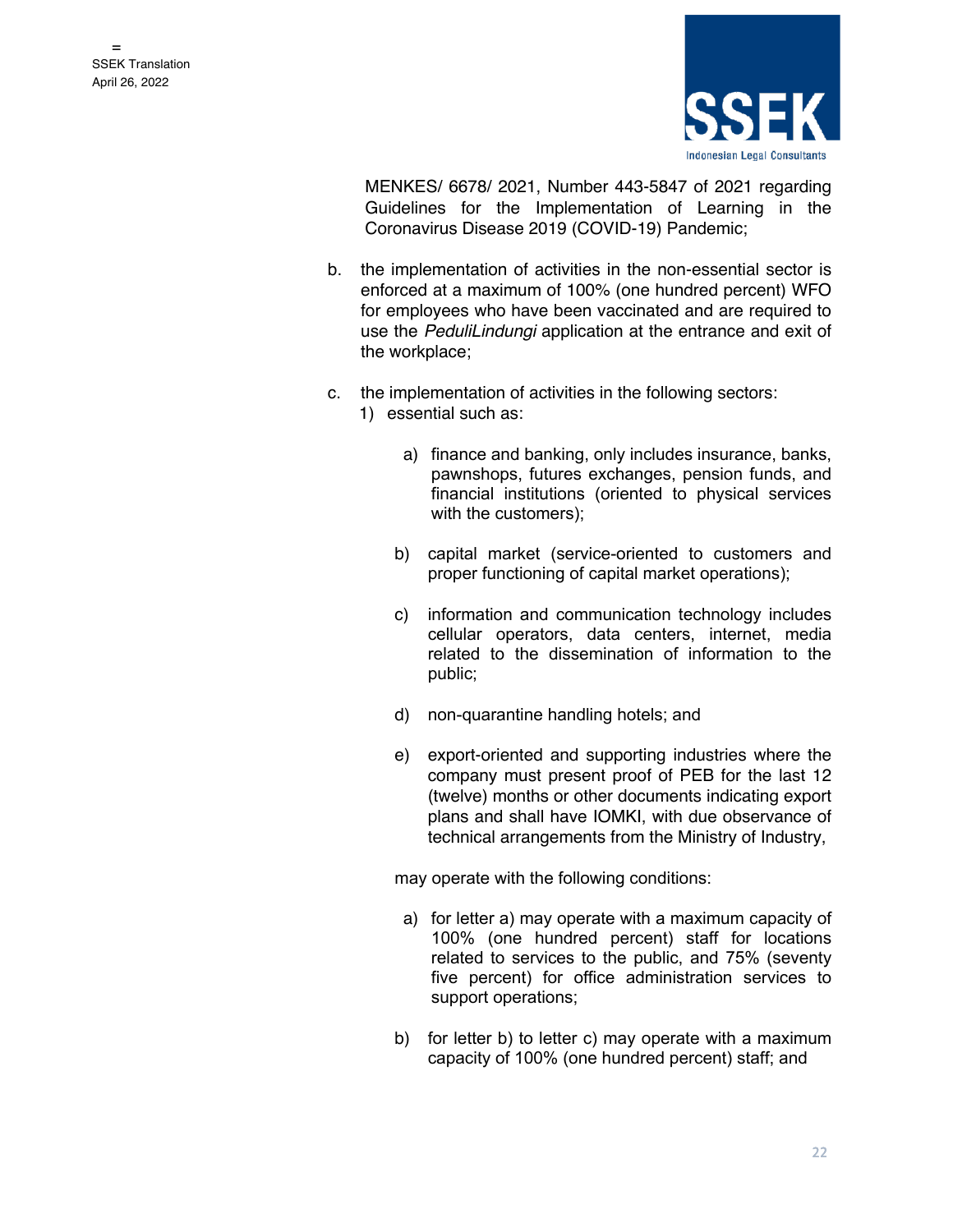

MENKES/ 6678/ 2021, Number 443-5847 of 2021 regarding Guidelines for the Implementation of Learning in the Coronavirus Disease 2019 (COVID-19) Pandemic;

- b. the implementation of activities in the non-essential sector is enforced at a maximum of 100% (one hundred percent) WFO for employees who have been vaccinated and are required to use the *PeduliLindungi* application at the entrance and exit of the workplace;
- c. the implementation of activities in the following sectors:
	- 1) essential such as:
		- a) finance and banking, only includes insurance, banks, pawnshops, futures exchanges, pension funds, and financial institutions (oriented to physical services with the customers);
		- b) capital market (service-oriented to customers and proper functioning of capital market operations);
		- c) information and communication technology includes cellular operators, data centers, internet, media related to the dissemination of information to the public;
		- d) non-quarantine handling hotels; and
		- e) export-oriented and supporting industries where the company must present proof of PEB for the last 12 (twelve) months or other documents indicating export plans and shall have IOMKI, with due observance of technical arrangements from the Ministry of Industry,

- a) for letter a) may operate with a maximum capacity of 100% (one hundred percent) staff for locations related to services to the public, and 75% (seventy five percent) for office administration services to support operations;
- b) for letter b) to letter c) may operate with a maximum capacity of 100% (one hundred percent) staff; and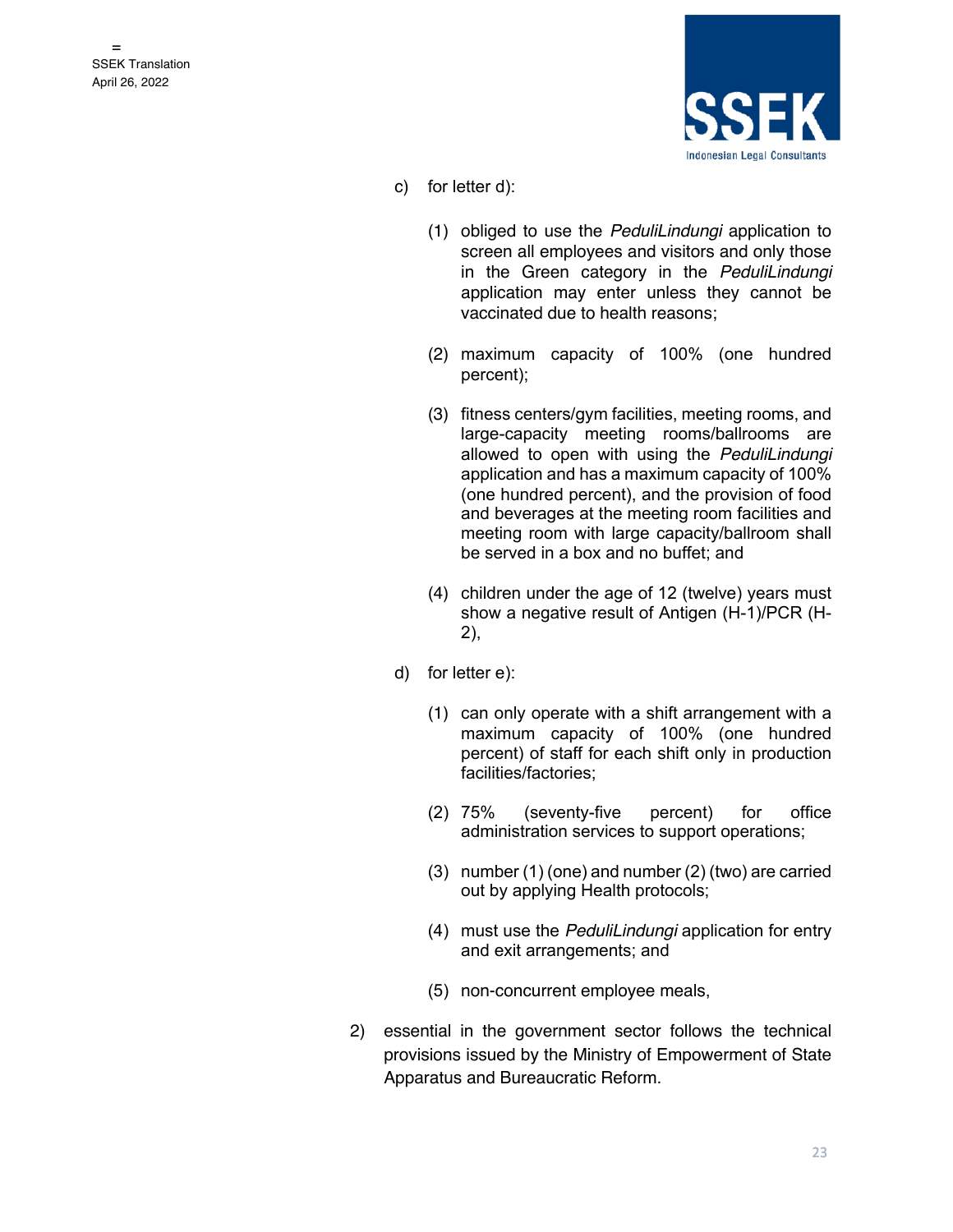

- c) for letter d):
	- (1) obliged to use the *PeduliLindungi* application to screen all employees and visitors and only those in the Green category in the *PeduliLindungi* application may enter unless they cannot be vaccinated due to health reasons;
	- (2) maximum capacity of 100% (one hundred percent);
	- (3) fitness centers/gym facilities, meeting rooms, and large-capacity meeting rooms/ballrooms are allowed to open with using the *PeduliLindungi* application and has a maximum capacity of 100% (one hundred percent), and the provision of food and beverages at the meeting room facilities and meeting room with large capacity/ballroom shall be served in a box and no buffet; and
	- (4) children under the age of 12 (twelve) years must show a negative result of Antigen (H-1)/PCR (H-2),
- d) for letter e):
	- (1) can only operate with a shift arrangement with a maximum capacity of 100% (one hundred percent) of staff for each shift only in production facilities/factories;
	- (2) 75% (seventy-five percent) for office administration services to support operations;
	- (3) number (1) (one) and number (2) (two) are carried out by applying Health protocols;
	- (4) must use the *PeduliLindungi* application for entry and exit arrangements; and
	- (5) non-concurrent employee meals,
- 2) essential in the government sector follows the technical provisions issued by the Ministry of Empowerment of State Apparatus and Bureaucratic Reform.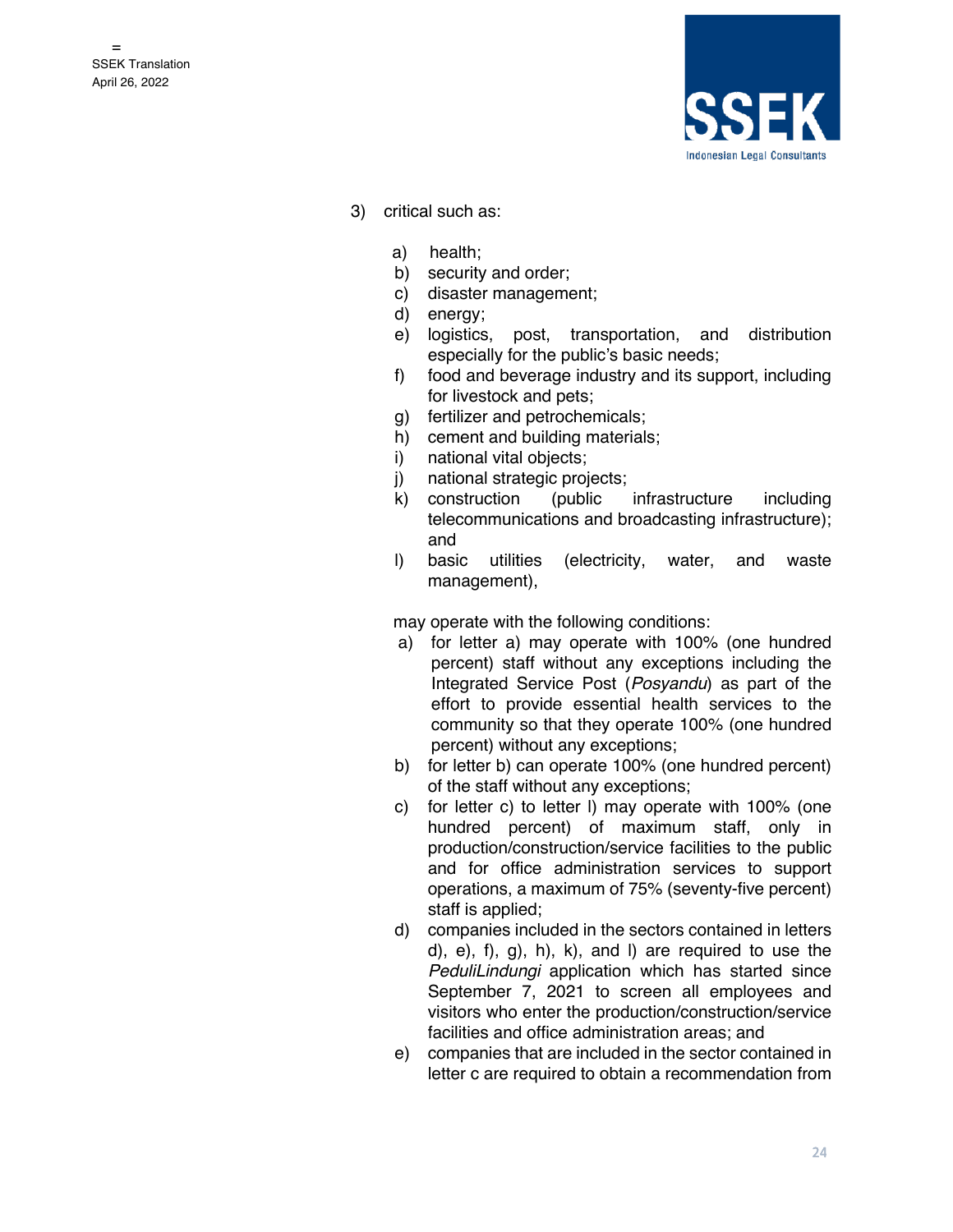

- 3) critical such as:
	- a) health;
	- b) security and order;
	- c) disaster management;
	- d) energy;
	- e) logistics, post, transportation, and distribution especially for the public's basic needs;
	- f) food and beverage industry and its support, including for livestock and pets;
	- g) fertilizer and petrochemicals;
	- h) cement and building materials;
	- i) national vital objects;
	- j) national strategic projects;
	- k) construction (public infrastructure including telecommunications and broadcasting infrastructure); and
	- l) basic utilities (electricity, water, and waste management),

- a) for letter a) may operate with 100% (one hundred percent) staff without any exceptions including the Integrated Service Post (*Posyandu*) as part of the effort to provide essential health services to the community so that they operate 100% (one hundred percent) without any exceptions;
- b) for letter b) can operate 100% (one hundred percent) of the staff without any exceptions;
- c) for letter c) to letter l) may operate with 100% (one hundred percent) of maximum staff, only in production/construction/service facilities to the public and for office administration services to support operations, a maximum of 75% (seventy-five percent) staff is applied;
- d) companies included in the sectors contained in letters d), e), f), g), h), k), and l) are required to use the *PeduliLindungi* application which has started since September 7, 2021 to screen all employees and visitors who enter the production/construction/service facilities and office administration areas; and
- e) companies that are included in the sector contained in letter c are required to obtain a recommendation from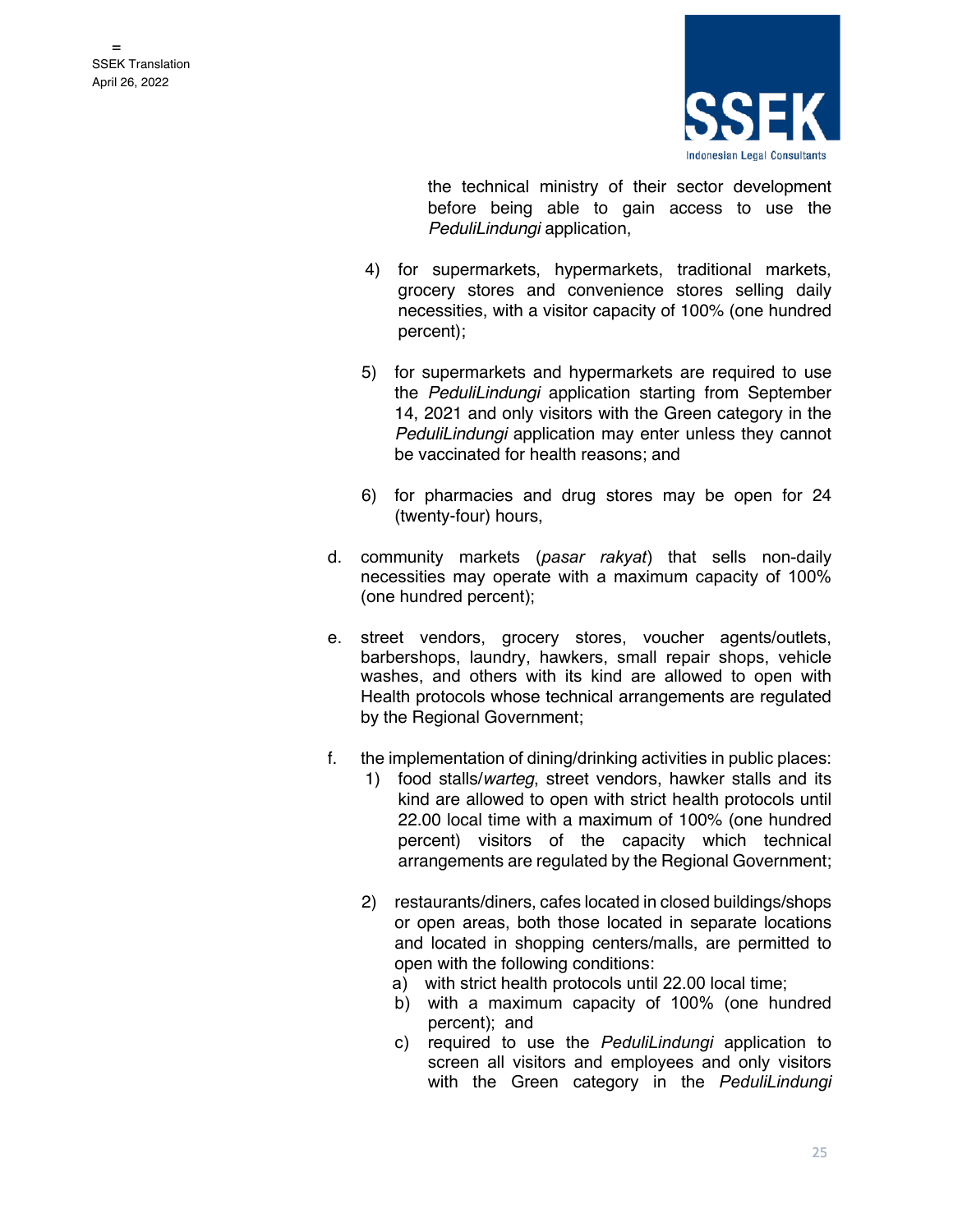

the technical ministry of their sector development before being able to gain access to use the *PeduliLindungi* application,

- 4) for supermarkets, hypermarkets, traditional markets, grocery stores and convenience stores selling daily necessities, with a visitor capacity of 100% (one hundred percent);
- 5) for supermarkets and hypermarkets are required to use the *PeduliLindungi* application starting from September 14, 2021 and only visitors with the Green category in the *PeduliLindungi* application may enter unless they cannot be vaccinated for health reasons; and
- 6) for pharmacies and drug stores may be open for 24 (twenty-four) hours,
- d. community markets (*pasar rakyat*) that sells non-daily necessities may operate with a maximum capacity of 100% (one hundred percent);
- e. street vendors, grocery stores, voucher agents/outlets, barbershops, laundry, hawkers, small repair shops, vehicle washes, and others with its kind are allowed to open with Health protocols whose technical arrangements are regulated by the Regional Government;
- f. the implementation of dining/drinking activities in public places:
	- 1) food stalls/*warteg*, street vendors, hawker stalls and its kind are allowed to open with strict health protocols until 22.00 local time with a maximum of 100% (one hundred percent) visitors of the capacity which technical arrangements are regulated by the Regional Government;
	- 2) restaurants/diners, cafes located in closed buildings/shops or open areas, both those located in separate locations and located in shopping centers/malls, are permitted to open with the following conditions:
		- a) with strict health protocols until 22.00 local time;
		- b) with a maximum capacity of 100% (one hundred percent); and
		- c) required to use the *PeduliLindungi* application to screen all visitors and employees and only visitors with the Green category in the *PeduliLindungi*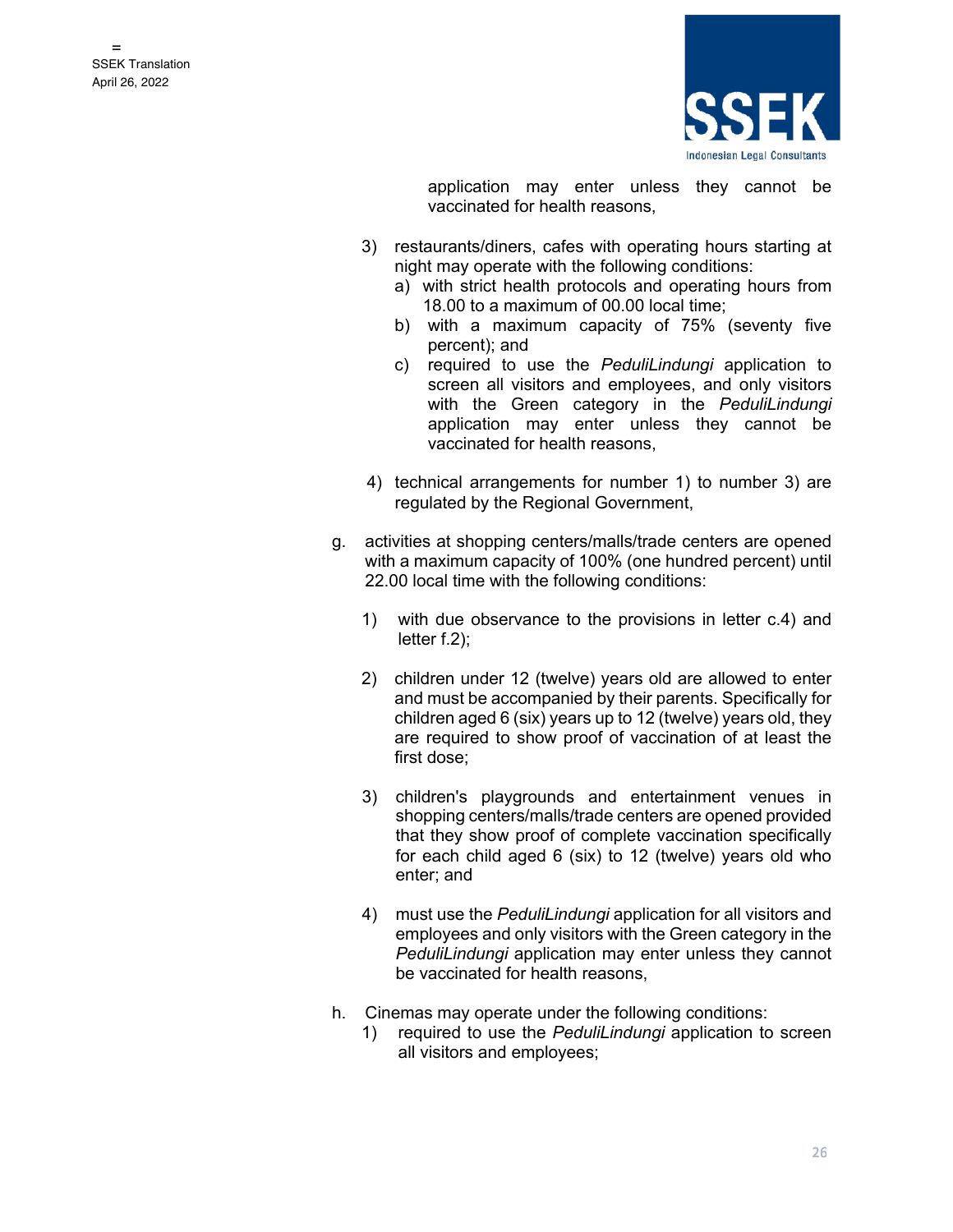

application may enter unless they cannot be vaccinated for health reasons,

- 3) restaurants/diners, cafes with operating hours starting at night may operate with the following conditions:
	- a) with strict health protocols and operating hours from 18.00 to a maximum of 00.00 local time;
	- b) with a maximum capacity of 75% (seventy five percent); and
	- c) required to use the *PeduliLindungi* application to screen all visitors and employees, and only visitors with the Green category in the *PeduliLindungi* application may enter unless they cannot be vaccinated for health reasons,
- 4) technical arrangements for number 1) to number 3) are regulated by the Regional Government,
- g. activities at shopping centers/malls/trade centers are opened with a maximum capacity of 100% (one hundred percent) until 22.00 local time with the following conditions:
	- 1) with due observance to the provisions in letter c.4) and letter f.2);
	- 2) children under 12 (twelve) years old are allowed to enter and must be accompanied by their parents. Specifically for children aged 6 (six) years up to 12 (twelve) years old, they are required to show proof of vaccination of at least the first dose;
	- 3) children's playgrounds and entertainment venues in shopping centers/malls/trade centers are opened provided that they show proof of complete vaccination specifically for each child aged 6 (six) to 12 (twelve) years old who enter; and
	- 4) must use the *PeduliLindungi* application for all visitors and employees and only visitors with the Green category in the *PeduliLindungi* application may enter unless they cannot be vaccinated for health reasons,
- h. Cinemas may operate under the following conditions:
	- 1) required to use the *PeduliLindungi* application to screen all visitors and employees;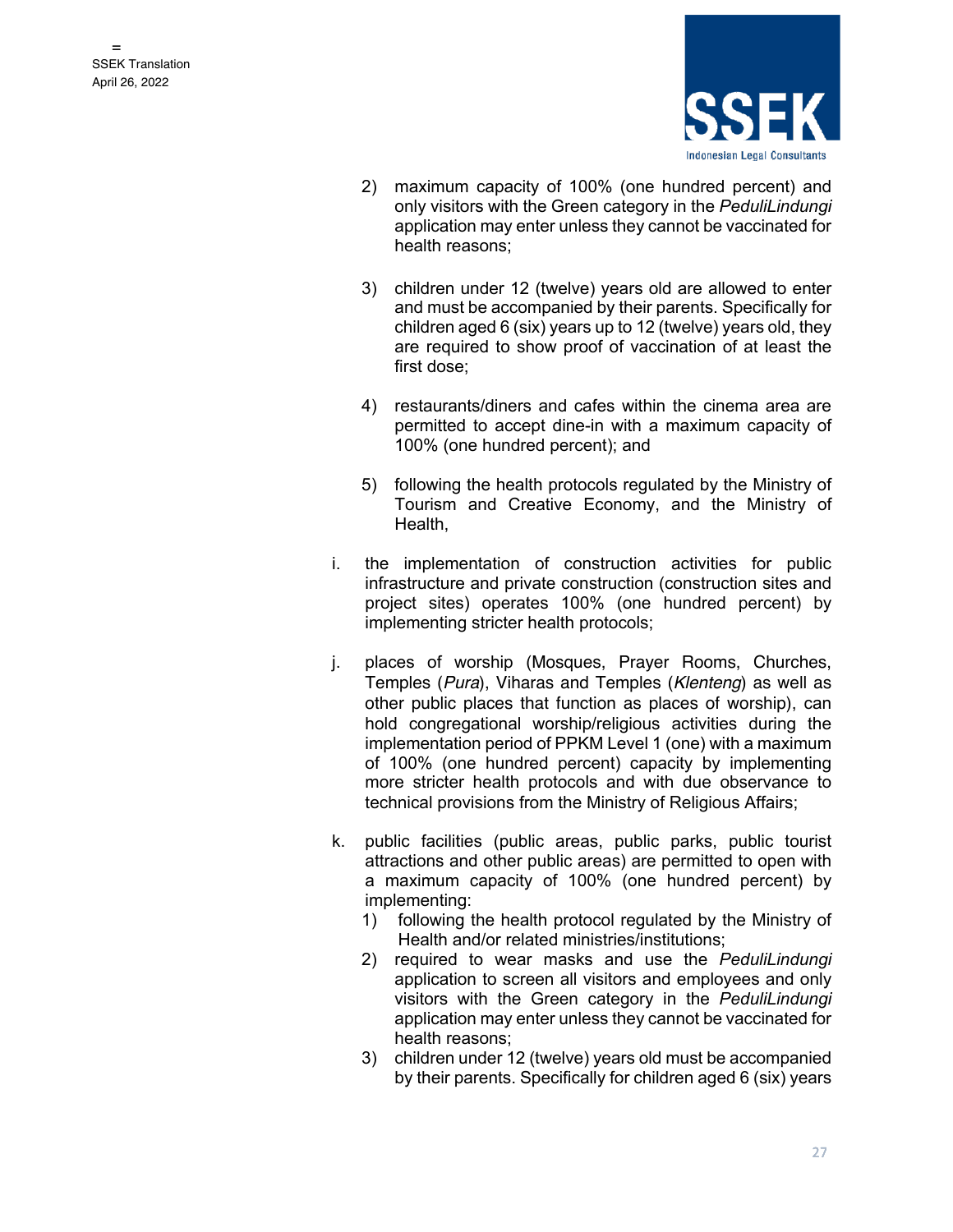

- 2) maximum capacity of 100% (one hundred percent) and only visitors with the Green category in the *PeduliLindungi* application may enter unless they cannot be vaccinated for health reasons;
- 3) children under 12 (twelve) years old are allowed to enter and must be accompanied by their parents. Specifically for children aged 6 (six) years up to 12 (twelve) years old, they are required to show proof of vaccination of at least the first dose;
- 4) restaurants/diners and cafes within the cinema area are permitted to accept dine-in with a maximum capacity of 100% (one hundred percent); and
- 5) following the health protocols regulated by the Ministry of Tourism and Creative Economy, and the Ministry of Health,
- i. the implementation of construction activities for public infrastructure and private construction (construction sites and project sites) operates 100% (one hundred percent) by implementing stricter health protocols;
- j. places of worship (Mosques, Prayer Rooms, Churches, Temples (*Pura*), Viharas and Temples (*Klenteng*) as well as other public places that function as places of worship), can hold congregational worship/religious activities during the implementation period of PPKM Level 1 (one) with a maximum of 100% (one hundred percent) capacity by implementing more stricter health protocols and with due observance to technical provisions from the Ministry of Religious Affairs;
- k. public facilities (public areas, public parks, public tourist attractions and other public areas) are permitted to open with a maximum capacity of 100% (one hundred percent) by implementing:
	- 1) following the health protocol regulated by the Ministry of Health and/or related ministries/institutions;
	- 2) required to wear masks and use the *PeduliLindungi* application to screen all visitors and employees and only visitors with the Green category in the *PeduliLindungi* application may enter unless they cannot be vaccinated for health reasons;
	- 3) children under 12 (twelve) years old must be accompanied by their parents. Specifically for children aged 6 (six) years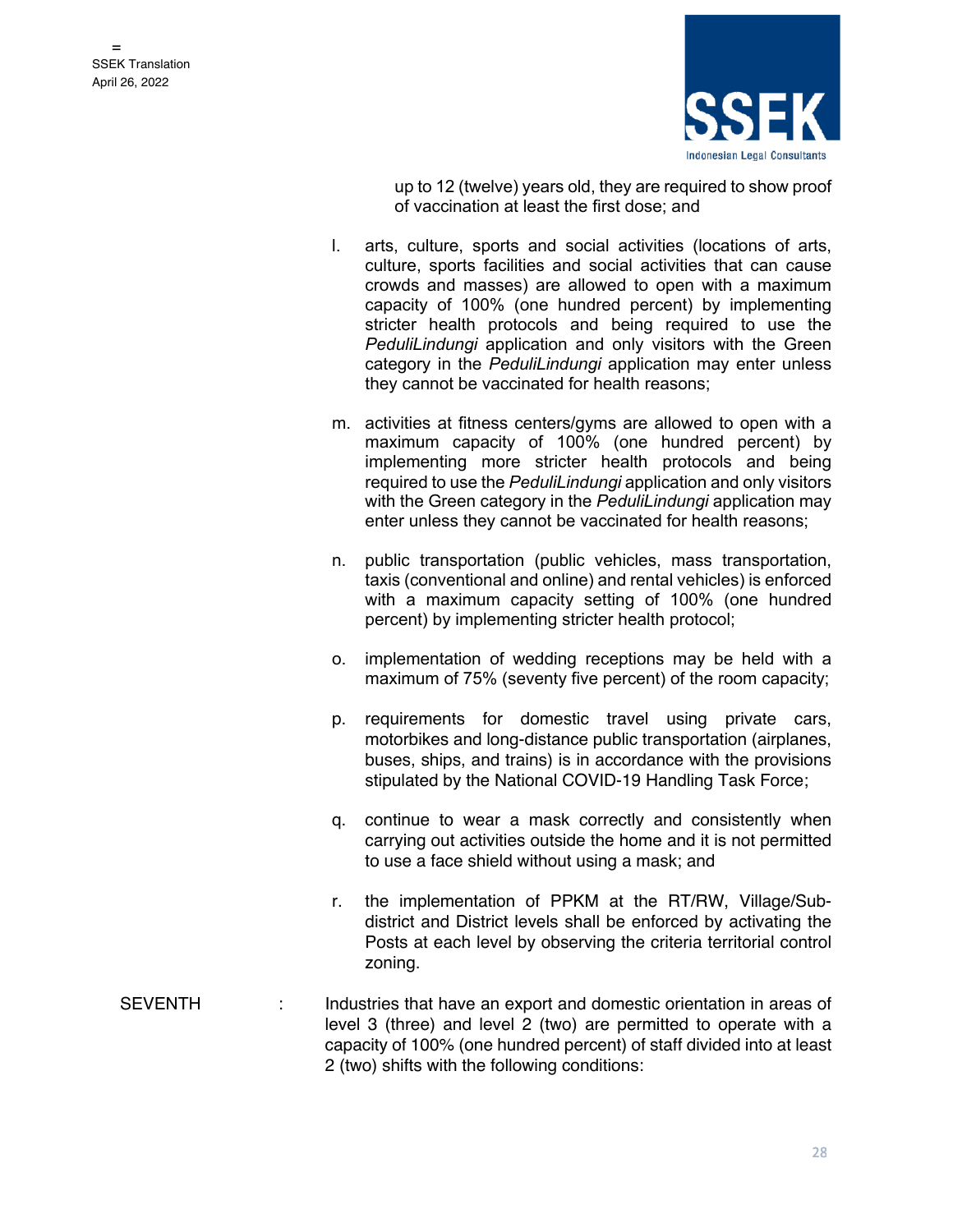

up to 12 (twelve) years old, they are required to show proof of vaccination at least the first dose; and

- l. arts, culture, sports and social activities (locations of arts, culture, sports facilities and social activities that can cause crowds and masses) are allowed to open with a maximum capacity of 100% (one hundred percent) by implementing stricter health protocols and being required to use the *PeduliLindungi* application and only visitors with the Green category in the *PeduliLindungi* application may enter unless they cannot be vaccinated for health reasons;
- m. activities at fitness centers/gyms are allowed to open with a maximum capacity of 100% (one hundred percent) by implementing more stricter health protocols and being required to use the *PeduliLindungi* application and only visitors with the Green category in the *PeduliLindungi* application may enter unless they cannot be vaccinated for health reasons;
- n. public transportation (public vehicles, mass transportation, taxis (conventional and online) and rental vehicles) is enforced with a maximum capacity setting of 100% (one hundred percent) by implementing stricter health protocol;
- o. implementation of wedding receptions may be held with a maximum of 75% (seventy five percent) of the room capacity;
- p. requirements for domestic travel using private cars, motorbikes and long-distance public transportation (airplanes, buses, ships, and trains) is in accordance with the provisions stipulated by the National COVID-19 Handling Task Force;
- q. continue to wear a mask correctly and consistently when carrying out activities outside the home and it is not permitted to use a face shield without using a mask; and
- r. the implementation of PPKM at the RT/RW, Village/Subdistrict and District levels shall be enforced by activating the Posts at each level by observing the criteria territorial control zoning.
- SEVENTH : Industries that have an export and domestic orientation in areas of level 3 (three) and level 2 (two) are permitted to operate with a capacity of 100% (one hundred percent) of staff divided into at least 2 (two) shifts with the following conditions: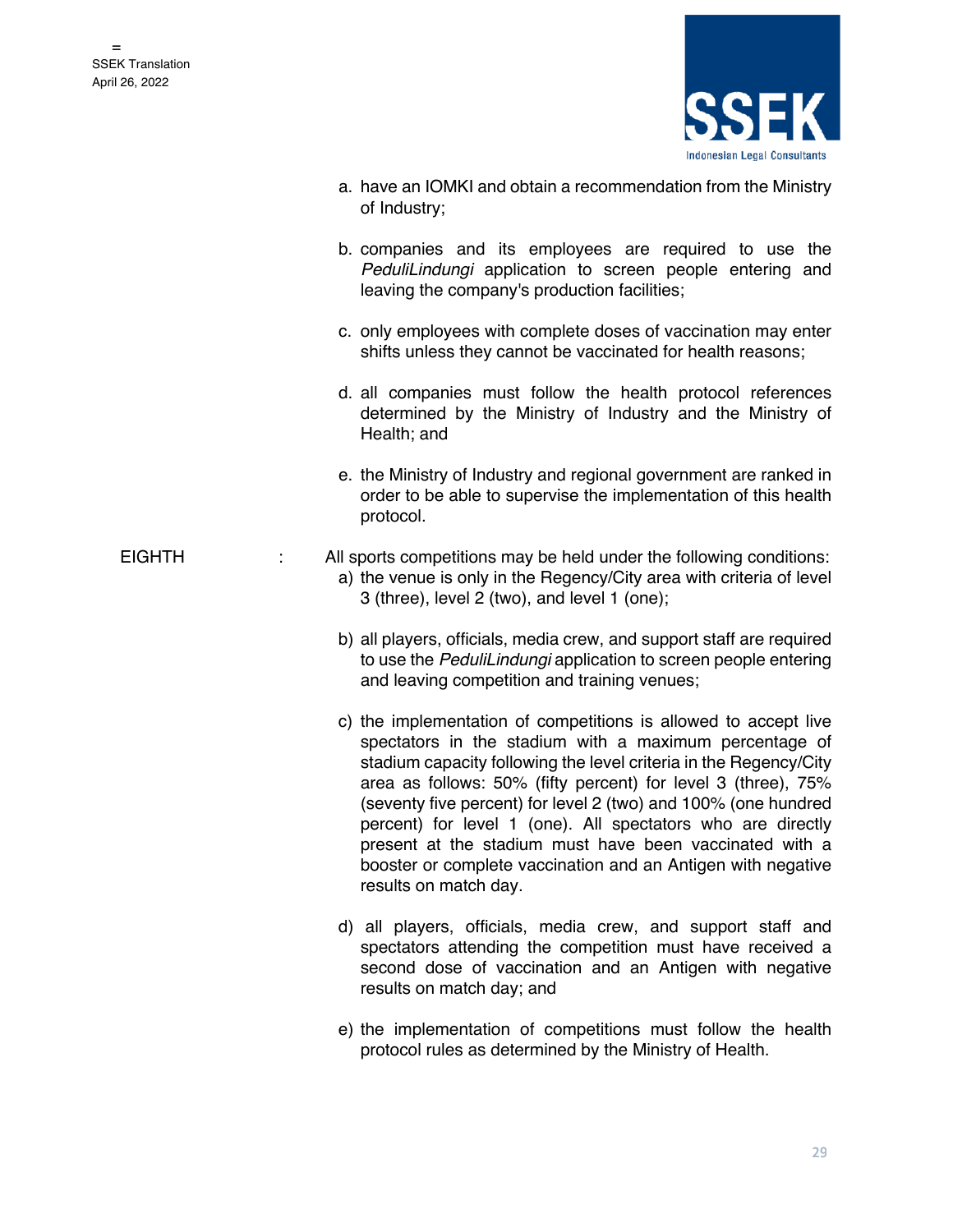

- a. have an IOMKI and obtain a recommendation from the Ministry of Industry;
	- b. companies and its employees are required to use the *PeduliLindungi* application to screen people entering and leaving the company's production facilities;
	- c. only employees with complete doses of vaccination may enter shifts unless they cannot be vaccinated for health reasons;
	- d. all companies must follow the health protocol references determined by the Ministry of Industry and the Ministry of Health; and
	- e. the Ministry of Industry and regional government are ranked in order to be able to supervise the implementation of this health protocol.

EIGHTH : All sports competitions may be held under the following conditions:

- a) the venue is only in the Regency/City area with criteria of level 3 (three), level 2 (two), and level 1 (one);
- b) all players, officials, media crew, and support staff are required to use the *PeduliLindungi* application to screen people entering and leaving competition and training venues;
- c) the implementation of competitions is allowed to accept live spectators in the stadium with a maximum percentage of stadium capacity following the level criteria in the Regency/City area as follows: 50% (fifty percent) for level 3 (three), 75% (seventy five percent) for level 2 (two) and 100% (one hundred percent) for level 1 (one). All spectators who are directly present at the stadium must have been vaccinated with a booster or complete vaccination and an Antigen with negative results on match day.
- d) all players, officials, media crew, and support staff and spectators attending the competition must have received a second dose of vaccination and an Antigen with negative results on match day; and
- e) the implementation of competitions must follow the health protocol rules as determined by the Ministry of Health.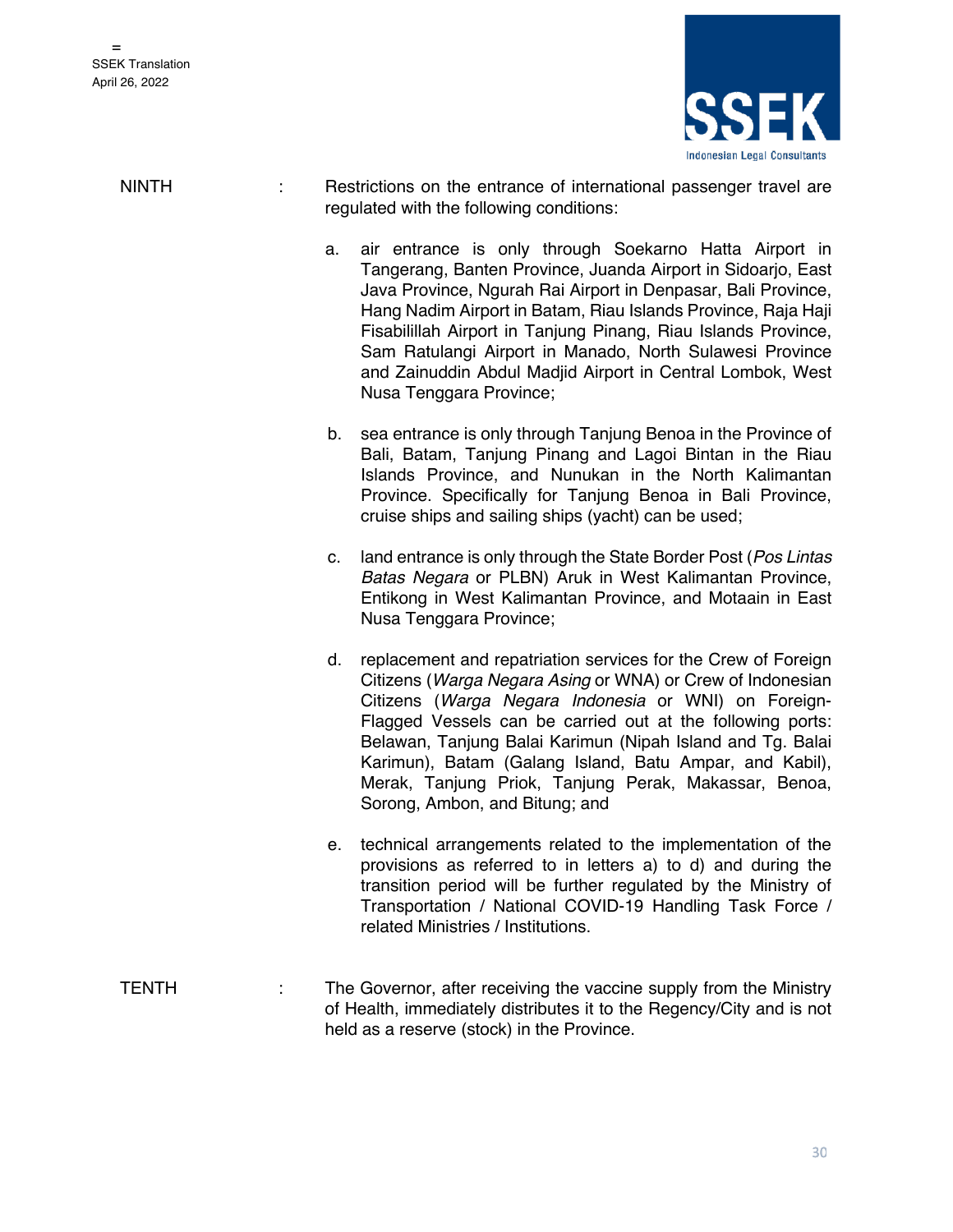

NINTH : Restrictions on the entrance of international passenger travel are regulated with the following conditions:

- a. air entrance is only through Soekarno Hatta Airport in Tangerang, Banten Province, Juanda Airport in Sidoarjo, East Java Province, Ngurah Rai Airport in Denpasar, Bali Province, Hang Nadim Airport in Batam, Riau Islands Province, Raja Haji Fisabilillah Airport in Tanjung Pinang, Riau Islands Province, Sam Ratulangi Airport in Manado, North Sulawesi Province and Zainuddin Abdul Madjid Airport in Central Lombok, West Nusa Tenggara Province;
- b. sea entrance is only through Tanjung Benoa in the Province of Bali, Batam, Tanjung Pinang and Lagoi Bintan in the Riau Islands Province, and Nunukan in the North Kalimantan Province. Specifically for Tanjung Benoa in Bali Province, cruise ships and sailing ships (yacht) can be used;
- c. land entrance is only through the State Border Post (*Pos Lintas Batas Negara* or PLBN) Aruk in West Kalimantan Province, Entikong in West Kalimantan Province, and Motaain in East Nusa Tenggara Province;
- d. replacement and repatriation services for the Crew of Foreign Citizens (*Warga Negara Asing* or WNA) or Crew of Indonesian Citizens (*Warga Negara Indonesia* or WNI) on Foreign-Flagged Vessels can be carried out at the following ports: Belawan, Tanjung Balai Karimun (Nipah Island and Tg. Balai Karimun), Batam (Galang Island, Batu Ampar, and Kabil), Merak, Tanjung Priok, Tanjung Perak, Makassar, Benoa, Sorong, Ambon, and Bitung; and
- e. technical arrangements related to the implementation of the provisions as referred to in letters a) to d) and during the transition period will be further regulated by the Ministry of Transportation / National COVID-19 Handling Task Force / related Ministries / Institutions.
- TENTH : The Governor, after receiving the vaccine supply from the Ministry of Health, immediately distributes it to the Regency/City and is not held as a reserve (stock) in the Province.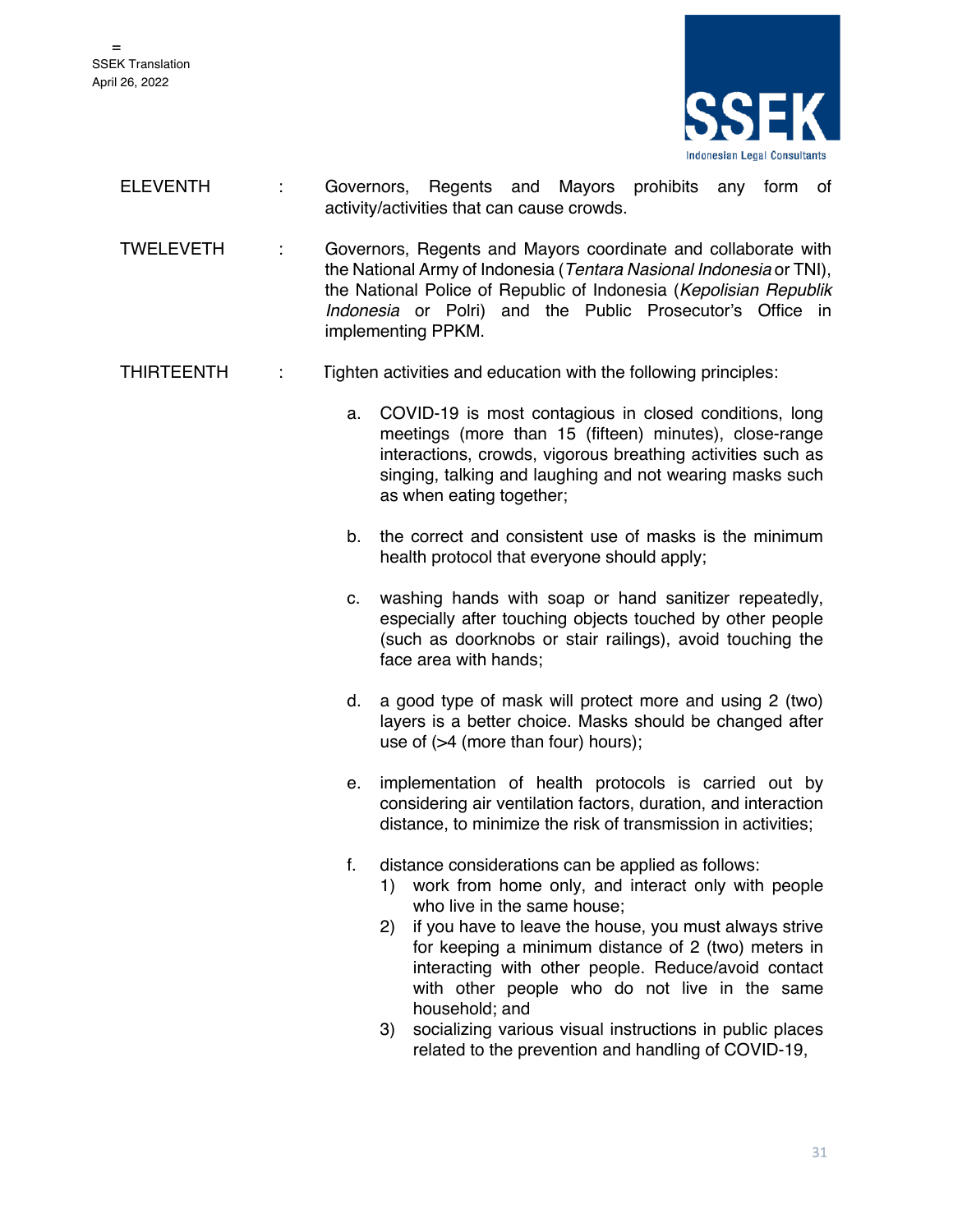

- ELEVENTH : Governors, Regents and Mayors prohibits any form of activity/activities that can cause crowds.
- TWELEVETH : Governors, Regents and Mayors coordinate and collaborate with the National Army of Indonesia (*Tentara Nasional Indonesia* or TNI), the National Police of Republic of Indonesia (*Kepolisian Republik Indonesia* or Polri) and the Public Prosecutor's Office in implementing PPKM.

#### THIRTEENTH : Tighten activities and education with the following principles:

- a. COVID-19 is most contagious in closed conditions, long meetings (more than 15 (fifteen) minutes), close-range interactions, crowds, vigorous breathing activities such as singing, talking and laughing and not wearing masks such as when eating together;
- b. the correct and consistent use of masks is the minimum health protocol that everyone should apply;
- c. washing hands with soap or hand sanitizer repeatedly, especially after touching objects touched by other people (such as doorknobs or stair railings), avoid touching the face area with hands;
- d. a good type of mask will protect more and using 2 (two) layers is a better choice. Masks should be changed after use of (>4 (more than four) hours);
- e. implementation of health protocols is carried out by considering air ventilation factors, duration, and interaction distance, to minimize the risk of transmission in activities;
- f. distance considerations can be applied as follows:
	- 1) work from home only, and interact only with people who live in the same house;
	- 2) if you have to leave the house, you must always strive for keeping a minimum distance of 2 (two) meters in interacting with other people. Reduce/avoid contact with other people who do not live in the same household; and
	- 3) socializing various visual instructions in public places related to the prevention and handling of COVID-19,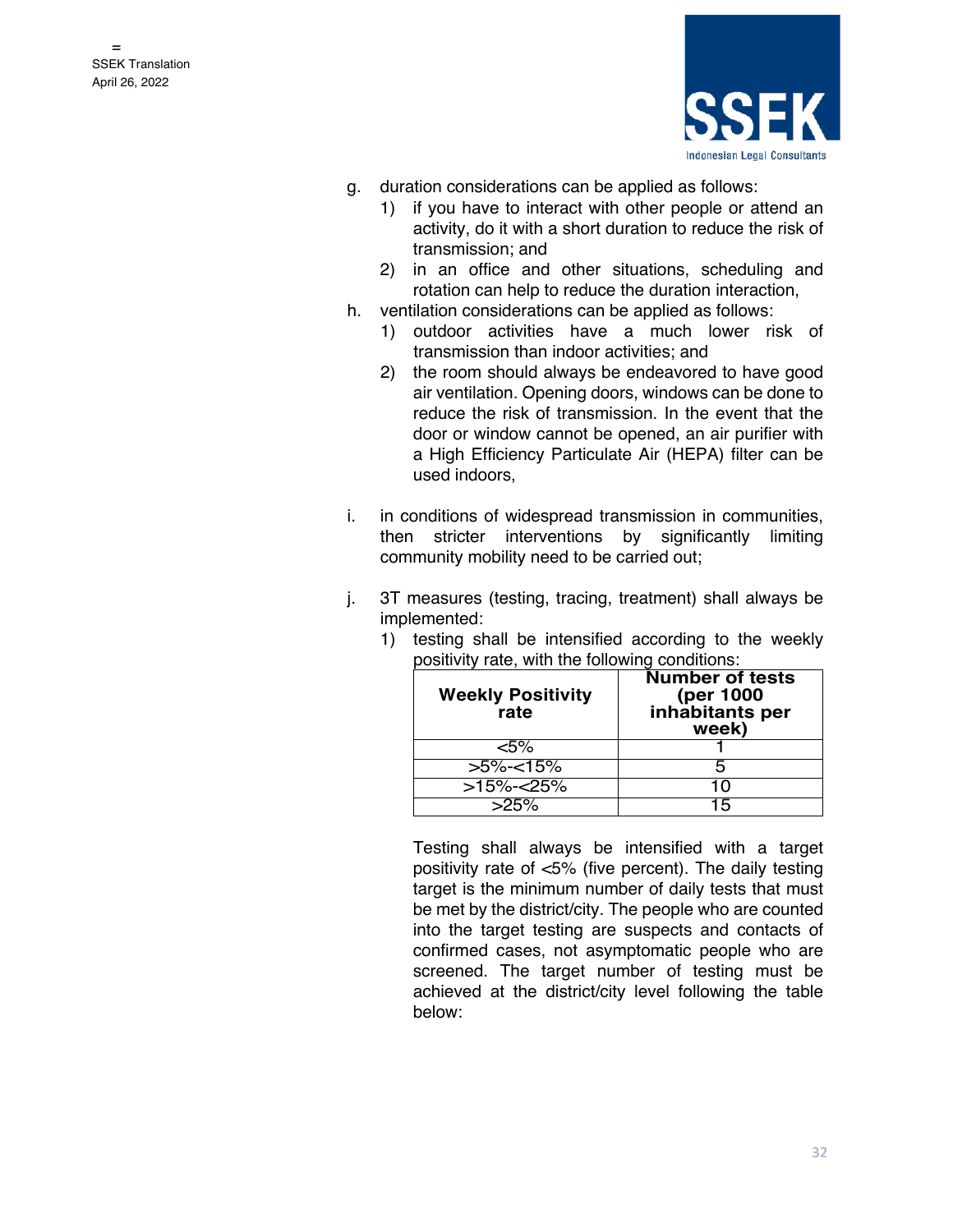

- g. duration considerations can be applied as follows:
	- 1) if you have to interact with other people or attend an activity, do it with a short duration to reduce the risk of transmission; and
	- 2) in an office and other situations, scheduling and rotation can help to reduce the duration interaction,
- h. ventilation considerations can be applied as follows:
	- 1) outdoor activities have a much lower risk of transmission than indoor activities; and
	- 2) the room should always be endeavored to have good air ventilation. Opening doors, windows can be done to reduce the risk of transmission. In the event that the door or window cannot be opened, an air purifier with a High Efficiency Particulate Air (HEPA) filter can be used indoors,
- i. in conditions of widespread transmission in communities, then stricter interventions by significantly limiting community mobility need to be carried out;
- j. 3T measures (testing, tracing, treatment) shall always be implemented:

| <b>Weekly Positivity</b><br>rate | <b>Number of tests</b><br>(per 1000<br>inhabitants per<br>week) |
|----------------------------------|-----------------------------------------------------------------|
| $< 5\%$                          |                                                                 |
| $>5\%<15\%$                      | 5                                                               |
| >15%-<25%                        | 1 ()                                                            |
| $>25\%$                          | 15                                                              |

1) testing shall be intensified according to the weekly positivity rate, with the following conditions:

Testing shall always be intensified with a target positivity rate of <5% (five percent). The daily testing target is the minimum number of daily tests that must be met by the district/city. The people who are counted into the target testing are suspects and contacts of confirmed cases, not asymptomatic people who are screened. The target number of testing must be achieved at the district/city level following the table below: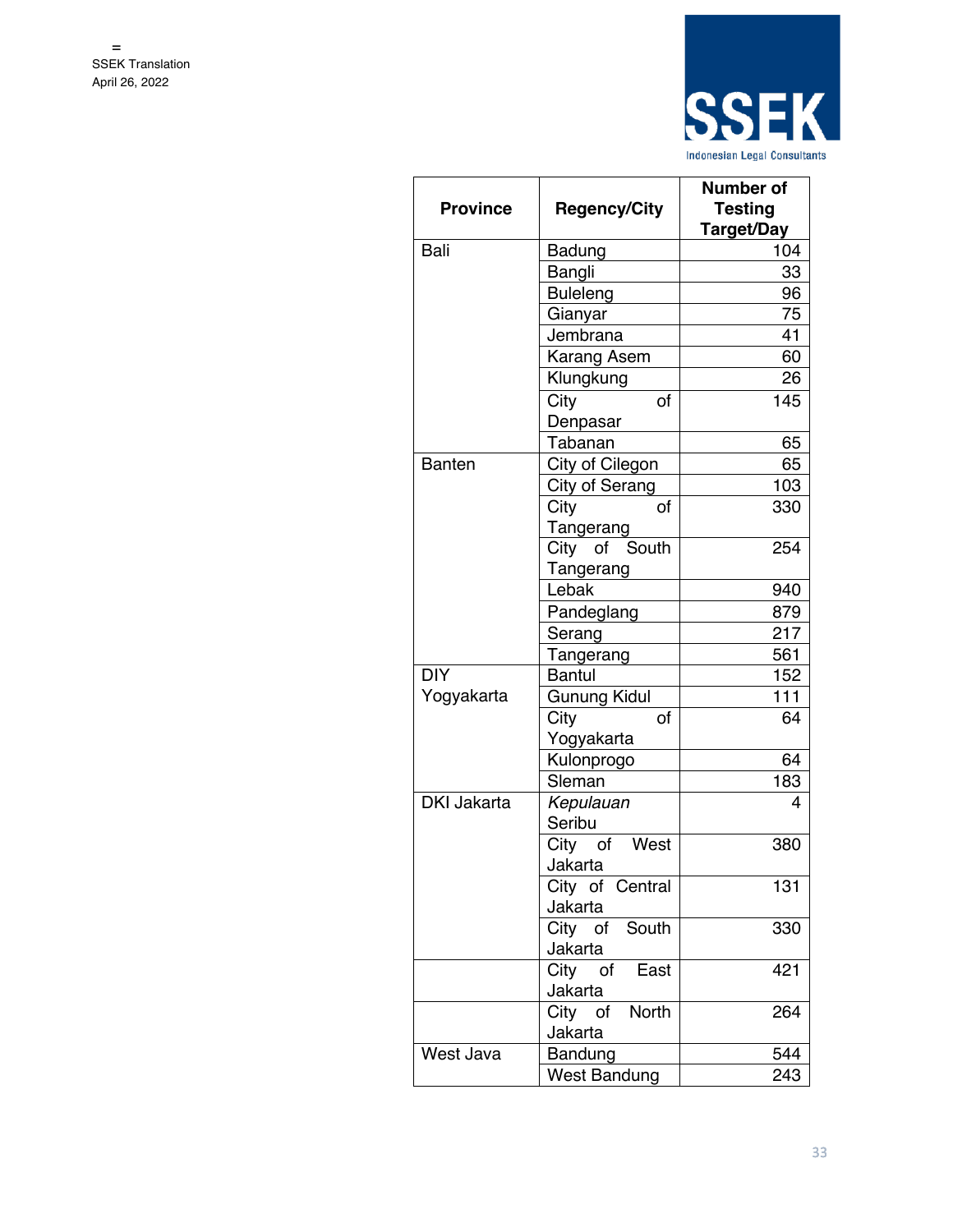

|                    |                     | <b>Number of</b>  |
|--------------------|---------------------|-------------------|
| <b>Province</b>    | <b>Regency/City</b> | <b>Testing</b>    |
|                    |                     | <b>Target/Day</b> |
| Bali               | Badung              | 104               |
|                    | Bangli              | 33                |
|                    | <b>Buleleng</b>     | 96                |
|                    | Gianyar             | 75                |
|                    | Jembrana            | 41                |
|                    | Karang Asem         | 60                |
|                    | Klungkung           | 26                |
|                    | City<br>of          | 145               |
|                    | Denpasar            |                   |
|                    | Tabanan             | 65                |
| <b>Banten</b>      | City of Cilegon     | 65                |
|                    | City of Serang      | 103               |
|                    | City<br>οf          | 330               |
|                    | Tangerang           |                   |
|                    | City of South       | 254               |
|                    | Tangerang           |                   |
|                    | Lebak               | 940               |
|                    | Pandeglang          | 879               |
|                    | Serang              | 217               |
|                    | Tangerang           | 561               |
| DIY                | <b>Bantul</b>       | 152               |
| Yogyakarta         | <b>Gunung Kidul</b> | 111               |
|                    | City<br>of          | 64                |
|                    | Yogyakarta          |                   |
|                    | Kulonprogo          | 64                |
|                    | Sleman              | 183               |
| <b>DKI Jakarta</b> | Kepulauan           | 4                 |
|                    | Seribu              |                   |
|                    | City of<br>West     | 380               |
|                    | Jakarta             |                   |
|                    | City of Central     | 131               |
|                    | Jakarta             |                   |
|                    | City of South       | 330               |
|                    | Jakarta             |                   |
|                    | City of East        | 421               |
|                    | Jakarta             |                   |
|                    | City of North       | 264               |
|                    | Jakarta             |                   |
| West Java          | Bandung             | 544               |
|                    | <b>West Bandung</b> | 243               |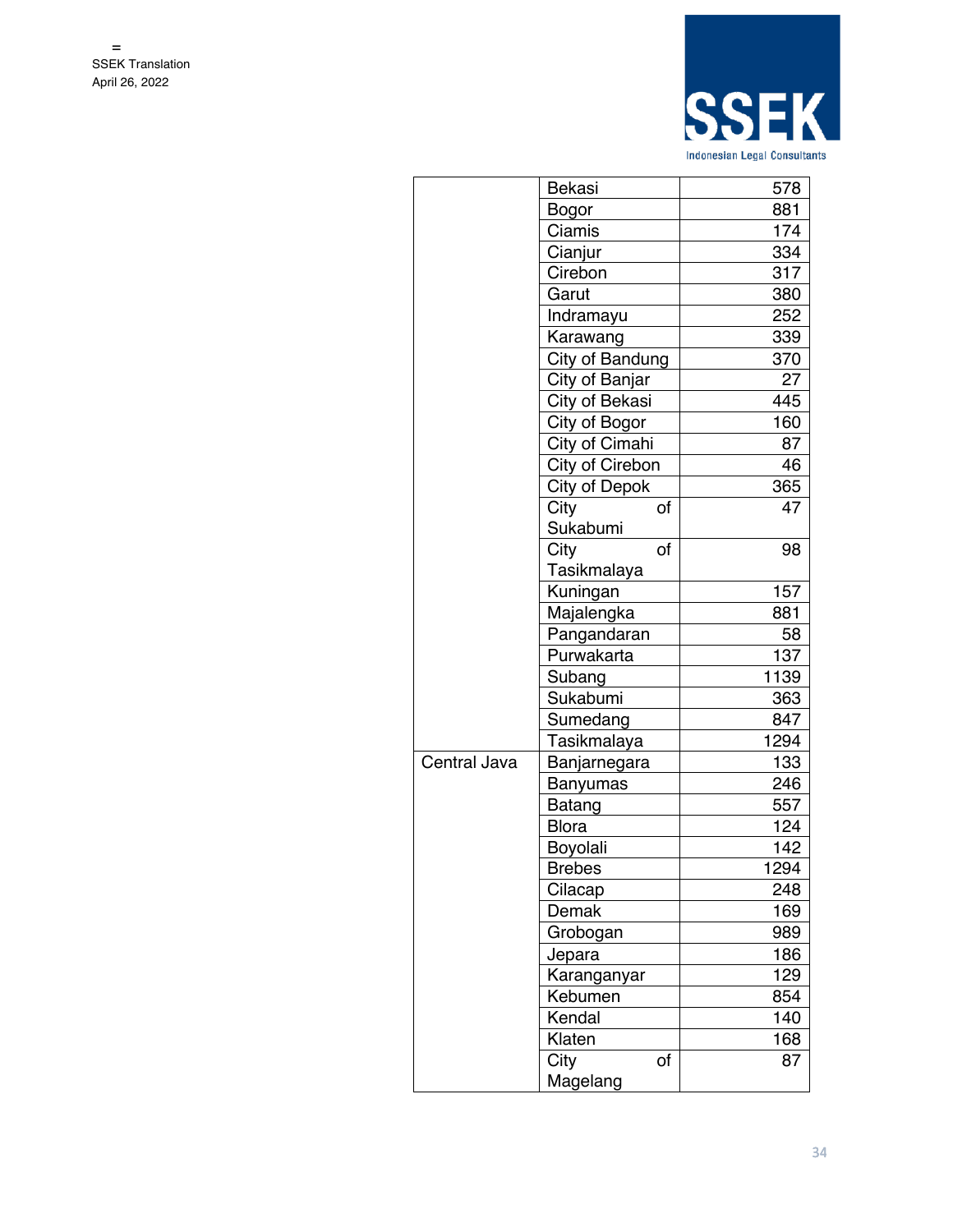

|              | Bekasi               |    | 578  |
|--------------|----------------------|----|------|
|              | Bogor                |    | 881  |
|              | Ciamis               |    | 174  |
|              | Cianjur              |    | 334  |
|              | Cirebon              |    | 317  |
|              | Garut                |    | 380  |
|              | Indramayu            |    | 252  |
|              | Karawang             |    | 339  |
|              | City of Bandung      |    | 370  |
|              | City of Banjar       |    | 27   |
|              | City of Bekasi       |    | 445  |
|              | City of Bogor        |    | 160  |
|              | City of Cimahi       |    | 87   |
|              | City of Cirebon      |    | 46   |
|              | <b>City of Depok</b> |    | 365  |
|              | City                 | οf | 47   |
|              | Sukabumi             |    |      |
|              | City                 | of | 98   |
|              | Tasikmalaya          |    |      |
|              | Kuningan             |    | 157  |
|              | Majalengka           |    | 881  |
|              | Pangandaran          |    | 58   |
|              | Purwakarta           |    | 137  |
|              | Subang               |    | 1139 |
|              | Sukabumi             |    | 363  |
|              | Sumedang             |    | 847  |
|              | Tasikmalaya          |    | 1294 |
| Central Java | Banjarnegara         |    | 133  |
|              | Banyumas             |    | 246  |
|              | Batang               |    | 557  |
|              | <b>Blora</b>         |    | 124  |
|              | Boyolali             |    | 142  |
|              | <b>Brebes</b>        |    | 1294 |
|              | Cilacap              |    | 248  |
|              | Demak                |    | 169  |
|              | Grobogan             |    | 989  |
|              |                      |    | 186  |
|              | Jepara               |    |      |
|              | Karanganyar          |    | 129  |
|              | Kebumen              |    | 854  |
|              | Kendal               |    | 140  |
|              | Klaten               |    | 168  |
|              | City                 | of | 87   |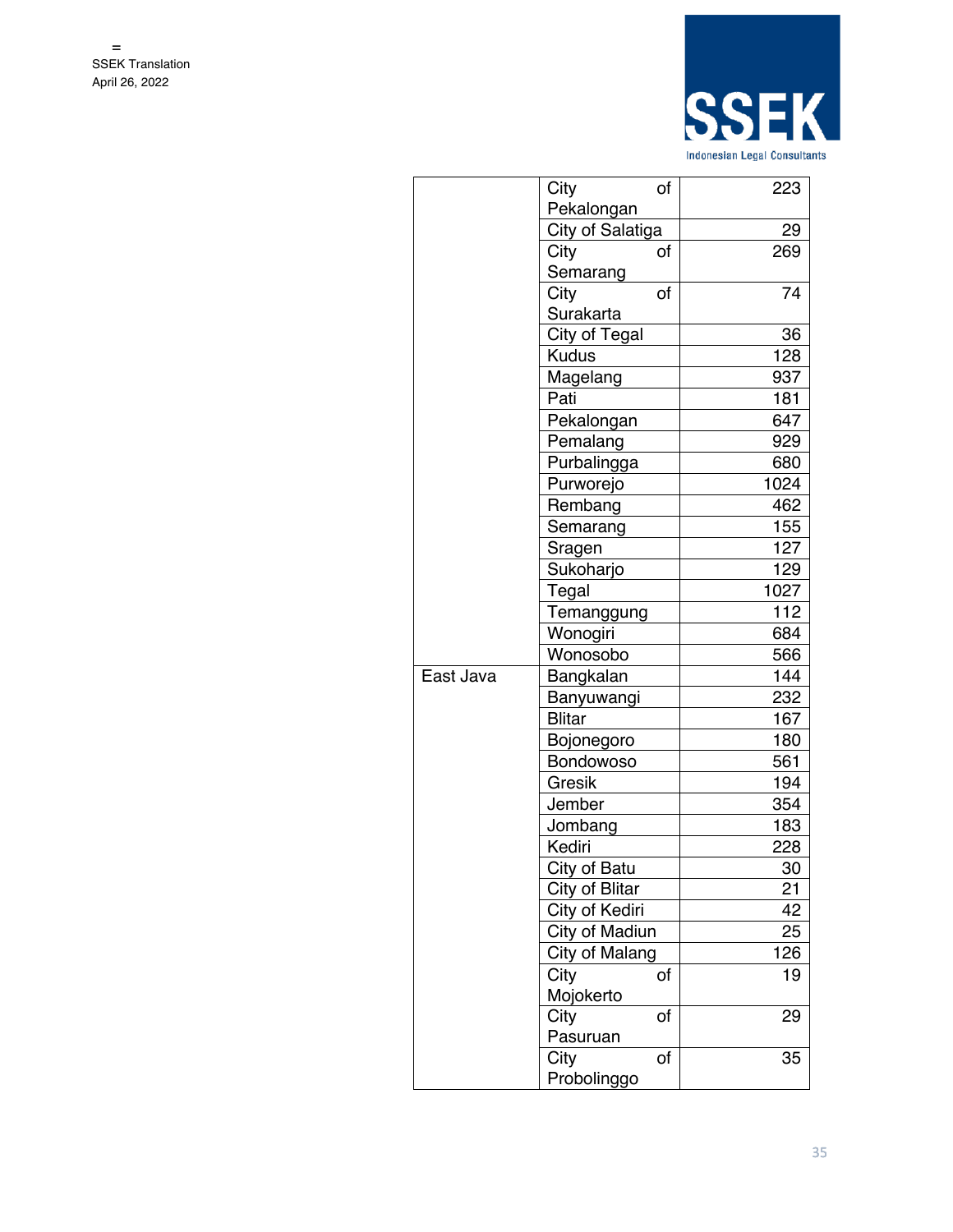

|           | City<br>οf       | 223  |
|-----------|------------------|------|
|           | Pekalongan       |      |
|           | City of Salatiga | 29   |
|           | City<br>of       | 269  |
|           | Semarang         |      |
|           | City<br>of       | 74   |
|           | Surakarta        |      |
|           | City of Tegal    | 36   |
|           | <b>Kudus</b>     | 128  |
|           | Magelang         | 937  |
|           | Pati             | 181  |
|           | Pekalongan       | 647  |
|           | Pemalang         | 929  |
|           | Purbalingga      | 680  |
|           | Purworejo        | 1024 |
|           | Rembang          | 462  |
|           | Semarang         | 155  |
|           | Sragen           | 127  |
|           | Sukoharjo        | 129  |
|           | Tegal            | 1027 |
|           | Temanggung       | 112  |
|           | Wonogiri         | 684  |
|           | Wonosobo         | 566  |
| East Java | Bangkalan        | 144  |
|           | Banyuwangi       | 232  |
|           | <b>Blitar</b>    | 167  |
|           | Bojonegoro       | 180  |
|           | Bondowoso        | 561  |
|           | Gresik           | 194  |
|           | Jember           | 354  |
|           | Jombang          | 183  |
|           | Kediri           | 228  |
|           | City of Batu     | 30   |
|           | City of Blitar   | 21   |
|           | City of Kediri   | 42   |
|           | City of Madiun   | 25   |
|           | City of Malang   | 126  |
|           | City<br>of       | 19   |
|           | Mojokerto        |      |
|           | City<br>of       | 29   |
|           | Pasuruan         |      |
|           | City<br>of       | 35   |
|           | Probolinggo      |      |
|           |                  |      |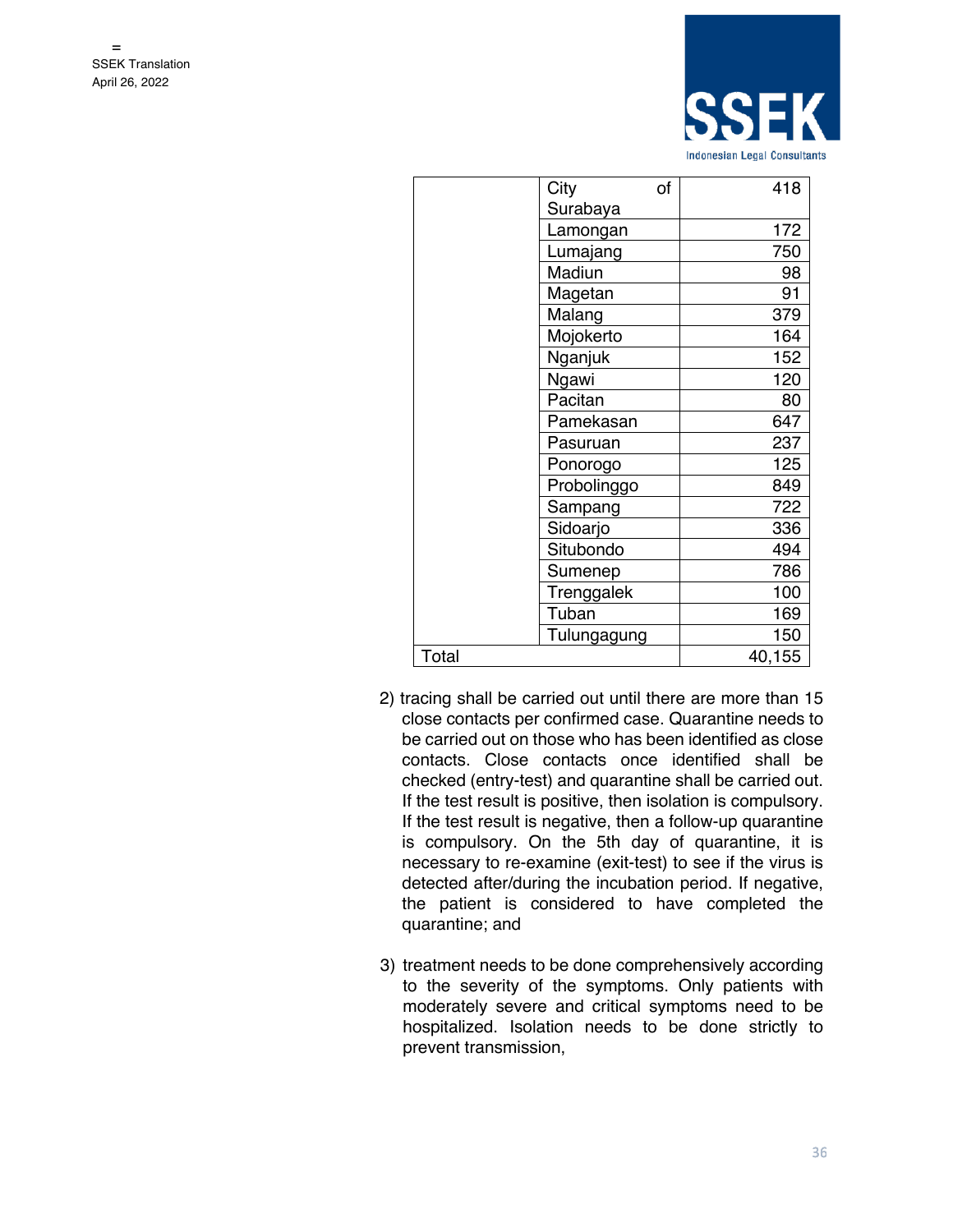

| City        | of | 418         |
|-------------|----|-------------|
| Surabaya    |    |             |
| Lamongan    |    | 172         |
| Lumajang    |    | 750         |
| Madiun      |    | 98          |
| Magetan     |    | 91          |
| Malang      |    | 379         |
| Mojokerto   |    | 164         |
| Nganjuk     |    | 152         |
| Ngawi       |    | 120         |
| Pacitan     |    | 80          |
| Pamekasan   |    | 647         |
| Pasuruan    |    | 237         |
| Ponorogo    |    | 125         |
| Probolinggo |    | 849         |
| Sampang     |    | 722         |
| Sidoarjo    |    | 336         |
| Situbondo   |    | 494         |
| Sumenep     |    | 786         |
| Trenggalek  |    | 100         |
| Tuban       |    | 169         |
|             |    | 150         |
|             |    | 40,155      |
|             |    | Tulungagung |

- 2) tracing shall be carried out until there are more than 15 close contacts per confirmed case. Quarantine needs to be carried out on those who has been identified as close contacts. Close contacts once identified shall be checked (entry-test) and quarantine shall be carried out. If the test result is positive, then isolation is compulsory. If the test result is negative, then a follow-up quarantine is compulsory. On the 5th day of quarantine, it is necessary to re-examine (exit-test) to see if the virus is detected after/during the incubation period. If negative, the patient is considered to have completed the quarantine; and
- 3) treatment needs to be done comprehensively according to the severity of the symptoms. Only patients with moderately severe and critical symptoms need to be hospitalized. Isolation needs to be done strictly to prevent transmission,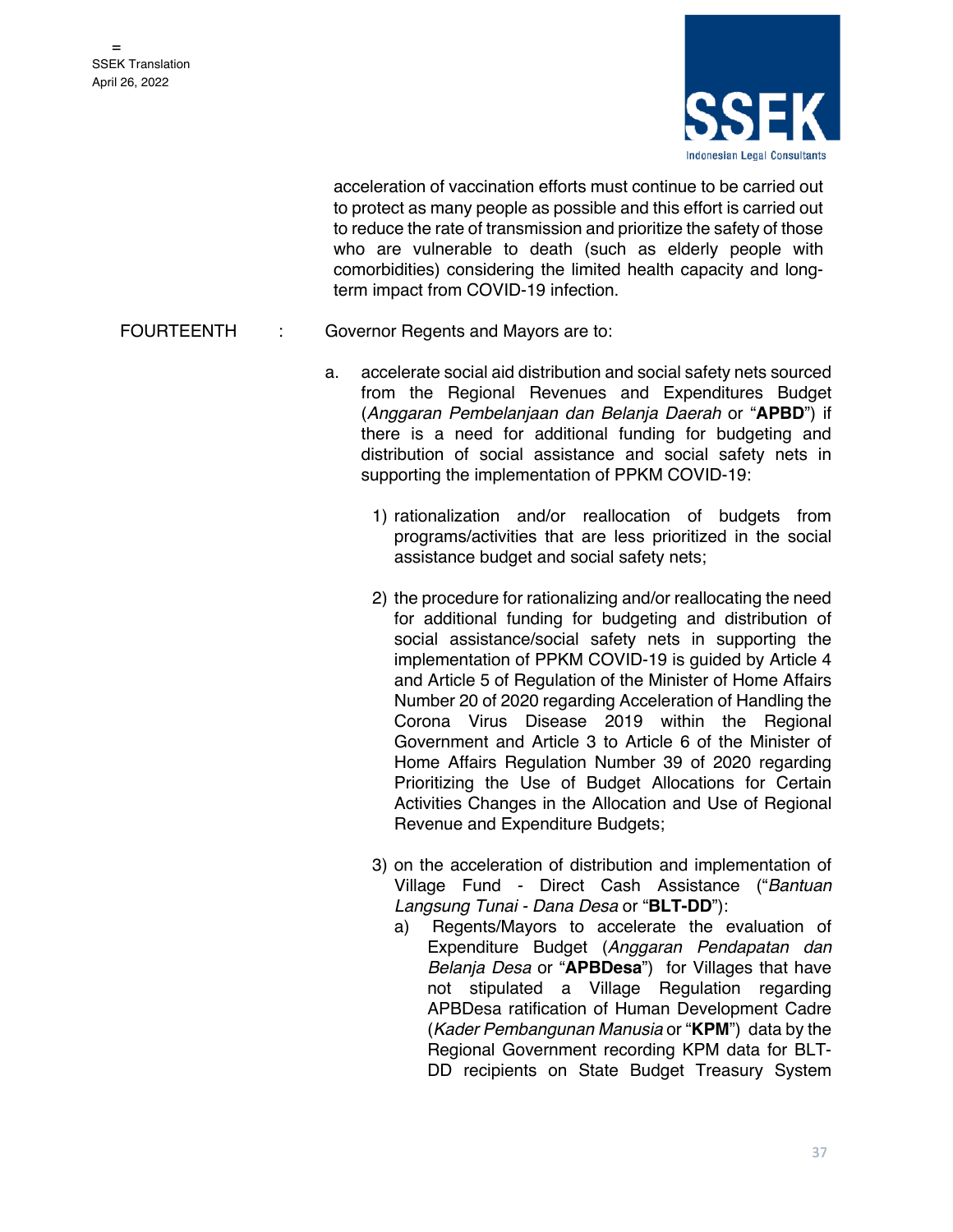

acceleration of vaccination efforts must continue to be carried out to protect as many people as possible and this effort is carried out to reduce the rate of transmission and prioritize the safety of those who are vulnerable to death (such as elderly people with comorbidities) considering the limited health capacity and longterm impact from COVID-19 infection.

#### FOURTEENTH : Governor Regents and Mayors are to:

- a. accelerate social aid distribution and social safety nets sourced from the Regional Revenues and Expenditures Budget (*Anggaran Pembelanjaan dan Belanja Daerah* or "**APBD**") if there is a need for additional funding for budgeting and distribution of social assistance and social safety nets in supporting the implementation of PPKM COVID-19:
	- 1) rationalization and/or reallocation of budgets from programs/activities that are less prioritized in the social assistance budget and social safety nets;
	- 2) the procedure for rationalizing and/or reallocating the need for additional funding for budgeting and distribution of social assistance/social safety nets in supporting the implementation of PPKM COVID-19 is guided by Article 4 and Article 5 of Regulation of the Minister of Home Affairs Number 20 of 2020 regarding Acceleration of Handling the Corona Virus Disease 2019 within the Regional Government and Article 3 to Article 6 of the Minister of Home Affairs Regulation Number 39 of 2020 regarding Prioritizing the Use of Budget Allocations for Certain Activities Changes in the Allocation and Use of Regional Revenue and Expenditure Budgets;
	- 3) on the acceleration of distribution and implementation of Village Fund - Direct Cash Assistance ("*Bantuan Langsung Tunai - Dana Desa* or "**BLT-DD**"):
		- a) Regents/Mayors to accelerate the evaluation of Expenditure Budget (*Anggaran Pendapatan dan Belanja Desa* or "**APBDesa**") for Villages that have not stipulated a Village Regulation regarding APBDesa ratification of Human Development Cadre (*Kader Pembangunan Manusia* or "**KPM**") data by the Regional Government recording KPM data for BLT-DD recipients on State Budget Treasury System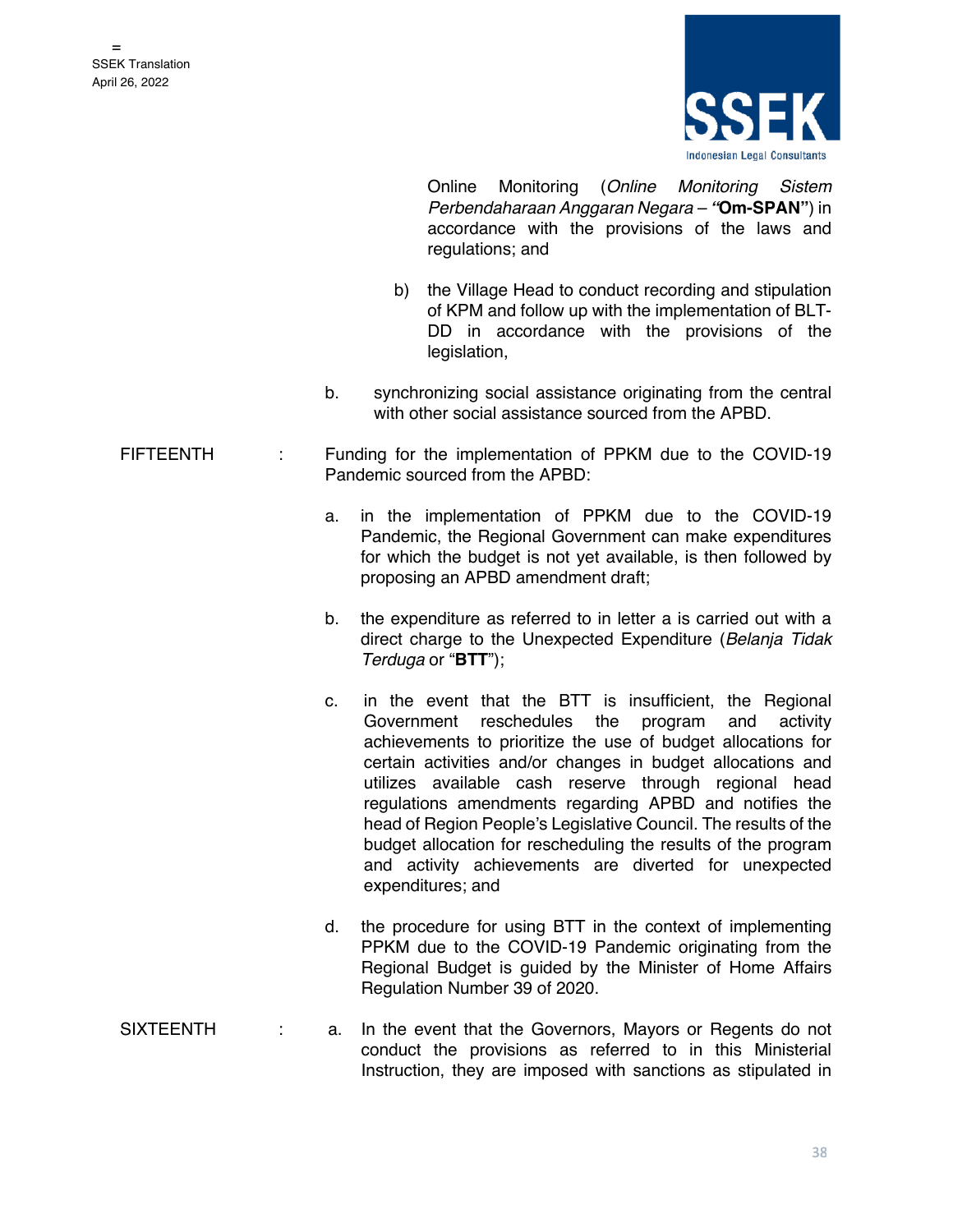

Online Monitoring (*Online Monitoring Sistem Perbendaharaan Anggaran Negara – "***Om-SPAN"**) in accordance with the provisions of the laws and regulations; and

- b) the Village Head to conduct recording and stipulation of KPM and follow up with the implementation of BLT-DD in accordance with the provisions of the legislation,
- b. synchronizing social assistance originating from the central with other social assistance sourced from the APBD.
- FIFTEENTH : Funding for the implementation of PPKM due to the COVID-19 Pandemic sourced from the APBD:
	- a. in the implementation of PPKM due to the COVID-19 Pandemic, the Regional Government can make expenditures for which the budget is not yet available, is then followed by proposing an APBD amendment draft;
	- b. the expenditure as referred to in letter a is carried out with a direct charge to the Unexpected Expenditure (*Belanja Tidak Terduga* or "**BTT**");
	- c. in the event that the BTT is insufficient, the Regional Government reschedules the program and activity achievements to prioritize the use of budget allocations for certain activities and/or changes in budget allocations and utilizes available cash reserve through regional head regulations amendments regarding APBD and notifies the head of Region People's Legislative Council. The results of the budget allocation for rescheduling the results of the program and activity achievements are diverted for unexpected expenditures; and
	- d. the procedure for using BTT in the context of implementing PPKM due to the COVID-19 Pandemic originating from the Regional Budget is guided by the Minister of Home Affairs Regulation Number 39 of 2020.
- SIXTEENTH : a. In the event that the Governors, Mayors or Regents do not conduct the provisions as referred to in this Ministerial Instruction, they are imposed with sanctions as stipulated in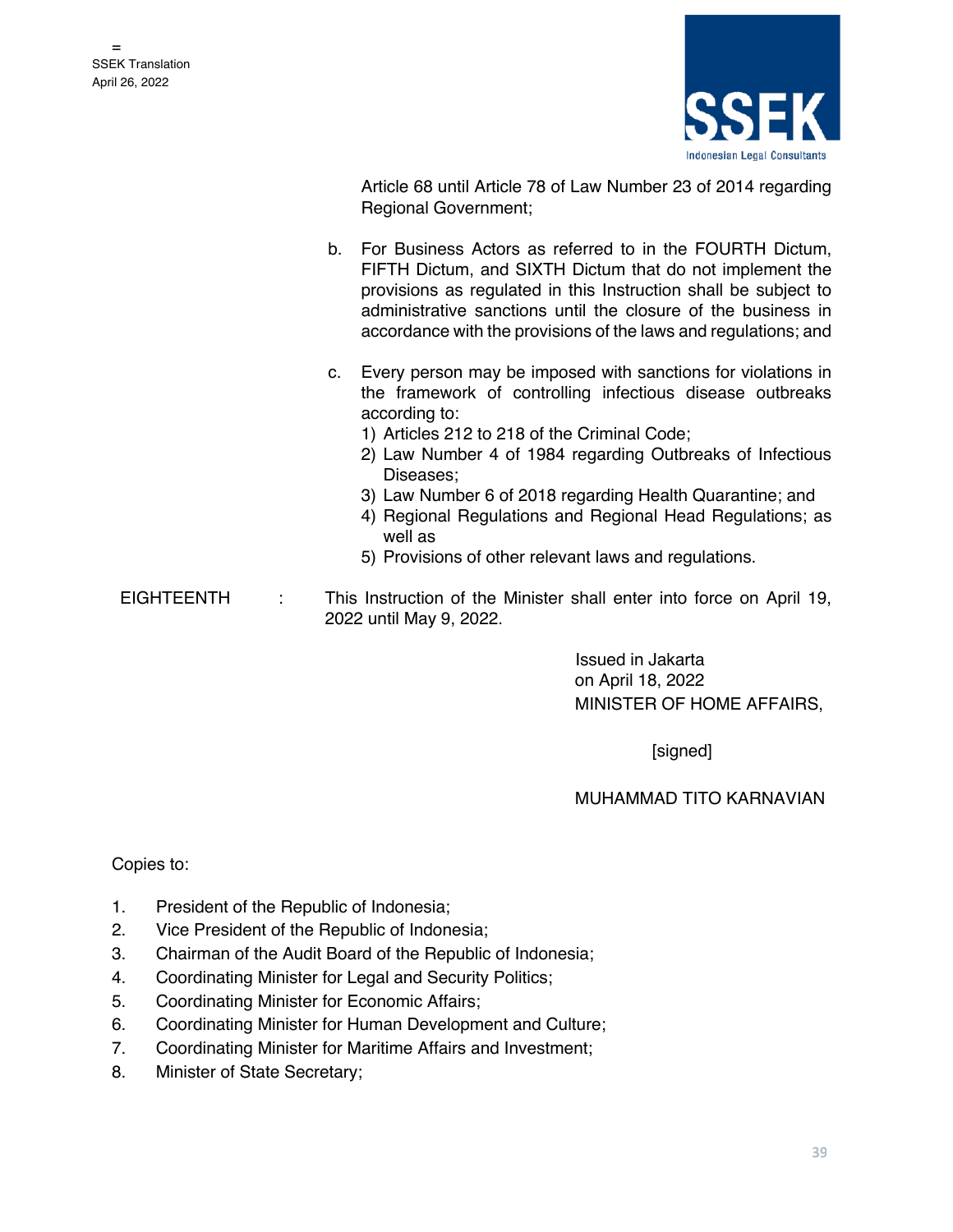

Article 68 until Article 78 of Law Number 23 of 2014 regarding Regional Government;

- b. For Business Actors as referred to in the FOURTH Dictum, FIFTH Dictum, and SIXTH Dictum that do not implement the provisions as regulated in this Instruction shall be subject to administrative sanctions until the closure of the business in accordance with the provisions of the laws and regulations; and
- c. Every person may be imposed with sanctions for violations in the framework of controlling infectious disease outbreaks according to:
	- 1) Articles 212 to 218 of the Criminal Code;
	- 2) Law Number 4 of 1984 regarding Outbreaks of Infectious Diseases;
	- 3) Law Number 6 of 2018 regarding Health Quarantine; and
	- 4) Regional Regulations and Regional Head Regulations; as well as
	- 5) Provisions of other relevant laws and regulations.
- EIGHTEENTH : This Instruction of the Minister shall enter into force on April 19, 2022 until May 9, 2022.

 Issued in Jakarta on April 18, 2022 MINISTER OF HOME AFFAIRS,

[signed]

#### MUHAMMAD TITO KARNAVIAN

Copies to:

- 1. President of the Republic of Indonesia;
- 2. Vice President of the Republic of Indonesia;
- 3. Chairman of the Audit Board of the Republic of Indonesia;
- 4. Coordinating Minister for Legal and Security Politics;
- 5. Coordinating Minister for Economic Affairs;
- 6. Coordinating Minister for Human Development and Culture;
- 7. Coordinating Minister for Maritime Affairs and Investment;
- 8. Minister of State Secretary;